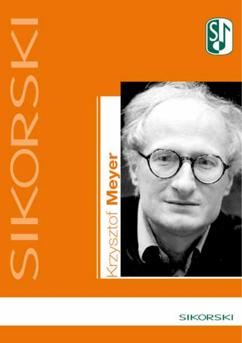





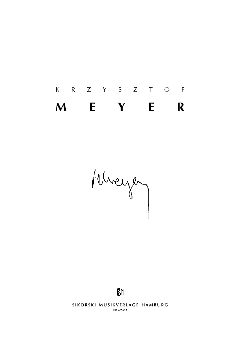# k r z y s z t o f **m e y e r**

Mureyez



**SIKORSKI MUSIKVERLAGE HAMBURG sik 4/5625**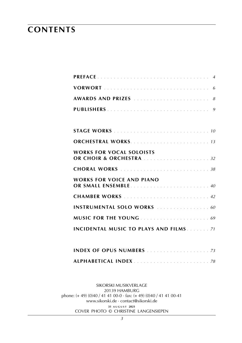## **contents**

| WORKS FOR VOCAL SOLOISTS<br>OR CHOIR & ORCHESTRA 32 |  |  |  |  |  |  |
|-----------------------------------------------------|--|--|--|--|--|--|
| <b>CHORAL WORKS</b> 38                              |  |  |  |  |  |  |
| WORKS FOR VOICE AND PIANO                           |  |  |  |  |  |  |
| <b>CHAMBER WORKS</b> 42                             |  |  |  |  |  |  |
| <b>INSTRUMENTAL SOLO WORKS</b> 60                   |  |  |  |  |  |  |
|                                                     |  |  |  |  |  |  |
| <b>INCIDENTAL MUSIC TO PLAYS AND FILMS.</b> 71      |  |  |  |  |  |  |
|                                                     |  |  |  |  |  |  |
|                                                     |  |  |  |  |  |  |

sikorski Musikverlage 20139 hamburg phone: (+ 49) (0)40 / 41 41 00-0 · fax: (+ 49) (0)40 / 41 41 00-41 www.sikorski.de · contact@sikorski.de **31 a u g u s t 2021** cover photo © christine langensiepen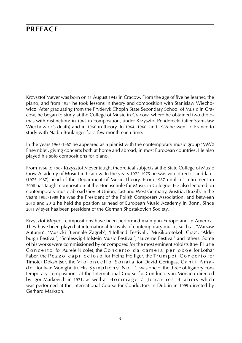## **preface**

Krzysztof Meyer was born on 11 August 1943 in Cracow. From the age of five he learned the piano, and from 1954 he took lessons in theory and composition with Stanisław Wiechowicz. After graduating from the Fryderyk Chopin State Secondary School of Music in Cracow, he began to study at the College of Music in Cracow, where he obtained two diplomas with distinction: in 1965 in composition, under Krzysztof Penderecki (after Stanisław Wiechowicz's death) and in 1966 in theory. In 1964, 1966, and 1968 he went to France to study with Nadia Boulanger for a few month each time.

In the years 1965-1967 he appeared as a pianist with the contemporary music group 'MW2 Ensemble', giving concerts both at home and abroad, in most European countries. He also played his solo compositions for piano.

From 1966 to 1987 Krzysztof Meyer taught theoretical subjects at the State College of Music (now Academy of Music) in Cracow. In the years 1972-1975 he was vice director and later (1975-1987) head of the Department of Music Theory. From 1987 until his retirement in 2008 has taught composition at the Hochschule für Musik in Cologne. He also lectured on contemporary music abroad (Soviet Union, East and West Germany, Austria, Brazil). In the years 1985-1989 he was the President of the Polish Composers Association, and between 2010 and 2012 he held the position as head of European Music Academy in Bonn. Since 2011 Meyer has been president of the German Shostakovich Society.

Krzysztof Meyer's compositions have been performed mainly in Europe and in America. They have been played at international festivals of contemporary music, such as 'Warsaw Autumn', 'Musicki Biennale Zagreb', 'Holland Festival', 'Musikprotokoll Graz', 'Aldeburgh Festival', 'Schleswig-Holstein Music Festival', 'Lucerne Festival' and others. Some of his works were commissioned by or composed for the most eminent soloists (the F l u t e Concerto for Aurèle Nicolet, the Concerto da camera per oboe for Lothar Faber, the Pezzo capriccioso for Heinz Holliger, the Trumpet Concerto for Timofei Dokshitser, the Violoncello Sonata for David Geringas, Canti Amade i for Ivan Monighetti). His S y m p h o n y N o . 1 was one of the three obligatory contemporary compositions at the International Course for Conductors in Monaco directed by Igor Markevich in 1971, as well as Hommage à Johannes Brahms which was performed at the International Course for Conductors in Dublin in 1999 directed by Gerhard Markson.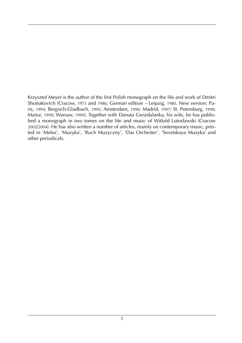Krzysztof Meyer is the author of the first Polish monograph on the life and work of Dmitri Shostakovich (Cracow, 1973 and 1986; German edition – Leipzig, 1980. New version: Paris, 1994; Bergisch-Gladbach, 1995; Amsterdam, 1996; Madrid, 1997; St. Petersburg, 1998; Mainz, 1998; Warsaw, 1999). Together with Danuta Gwizdalanka, his wife, he has published a monograph in two tomes on the life and music of Witlold Lutosławski (Cracow 2003/2004). He has also written a number of articles, mainly on contemporary music, printed in 'Melos', 'Muzyka', 'Ruch Muzyczny', 'Das Orchester', 'Sovetskaya Muzyka' and other periodicals.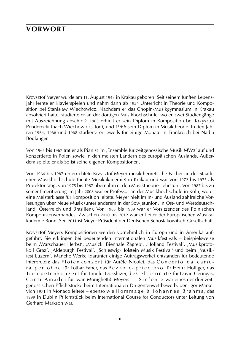## **vorwort**

Krzysztof Meyer wurde am 11. August 1943 in Krakau geboren. Seit seinem fünften Lebensjahr lernte er Klavierspielen und nahm dann ab 1954 Unterricht in Theorie und Komposition bei Stanisław Wiechowicz. Nachdem er das Chopin-Musikgymnasium in Krakau absolviert hatte, studierte er an der dortigen Musikhochschule, wo er zwei Studiengänge mit Auszeichnung abschloß: 1965 erhielt er sein Diplom in Komposition bei Krzysztof Penderecki (nach Wiechowiczs Tod), und 1966 sein Diplom in Musiktheorie. In den Jahren 1964, 1966 und 1968 studierte er jeweils für einige Monate in Frankreich bei Nadia Boulanger.

Von 1965 bis 1967 trat er als Pianist im ,Ensemble für zeitgenössische Musik MW2' auf und konzertierte in Polen sowie in den meisten Ländern des europäischen Auslands. Außerdem spielte er als Solist seine eigenen Kompositionen.

Von 1966 bis 1987 unterrichtete Krzysztof Meyer musiktheoretische Fächer an der Staatlichen Musikhochschule (heute Musikakademie) in Krakau und war von 1972 bis 1975 als Prorektor tätig, von 1975 bis 1987 übernahm er den Musiktheorie-Lehrstuhl. Von 1987 bis zu seiner Emeritierung im Jahr 2008 war er Professor an der Musikhochschule in Köln, wo er eine Meisterklasse für Komposition leitete. Meyer hielt im In- und Ausland zahlreiche Vorlesungen über Neue Musik (unter anderem in der Sowjetunion, in Ost- und Westdeutschland, Österreich und Brasilien). Von 1985 bis 1989 war er Vorsitzender des Polnischen Komponistenverbandes. Zwischen 2010 bis 2012 war er Leiter der Europäischen Musikakademie Bonn. Seit 2011 ist Meyer Präsident der Deutschen Schostakowitsch-Gesellschaft.

Krzysztof Meyers Kompositionen werden vornehmlich in Europa und in Amerika aufgeführt. Sie erklingen bei bedeutenden internationalen Musikfestivals – beispielsweise beim ,Warschauer Herbst', ,Musicki Biennale Zagreb', ,Holland Festival', ,Musikprotokoll Graz', ,Aldeburgh Festival', ,Schleswig-Holstein Musik Festival' und beim ,Musikfest Luzern'. Manche Werke (darunter einige Auftragswerke) entstanden für bedeutende Interpreten: das Flöten konzert für Aurèle Nicolet, das Concerto da camera per oboe für Lothar Faber, das Pezzo capriccioso für Heinz Holliger, das Tr om peten k on zert für Timofei Dokshizer, die Celloson at e für David Geringas, Canti Amadei für Iwan Monighetti). Meyers 1. Sinfonie war eines der drei zeitgenössischen Pflichtstücke beim Internationalen Dirigentenwettbewerb, den Igor Markevich 1971 in Monaco leitete – ebenso wie H o m m a g e à J o h a n n e s B r a h m s, das 1999 in Dublin Pflichtstück beim International Course for Conductors unter Leitung von Gerhard Markson war.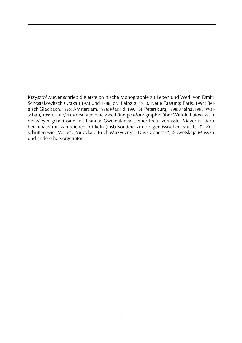Krzysztof Meyer schrieb die erste polnische Monographie zu Leben und Werk von Dmitri Schostakowitsch (Krakau 1973 und 1986; dt.: Leipzig, 1980. Neue Fassung: Paris, 1994; Bergisch Gladbach, 1995; Amsterdam, 1996; Madrid, 1997; St. Petersburg, 1998; Mainz, 1998; Warschau, 1999). 2003/2004 erschien eine zweibändige Monographie über Witlold Lutosławski, die Meyer gemeinsam mit Danuta Gwizdalanka, seiner Frau, verfasste. Meyer ist darüber hinaus mit zahlreichen Artikeln (insbesondere zur zeitgenössischen Musik) für Zeitschriften wie ,Melos', ,Muzyka', ,Ruch Muzyczny', ,Das Orchester', ,Sowetskaja Musyka' und andere hervorgetreten.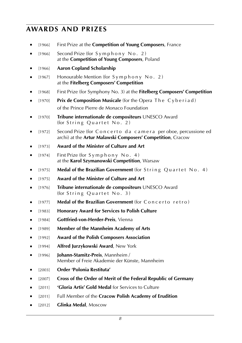## **awards and prizes**

[1966] First Prize at the **Competition of Young Composers**, France

■ [1966] Second Prize (for Symphony No. 2) at the **Competition of Young Composers**, Poland

- ■ [1966] **Aaron Copland Scholarship**
- $\blacksquare$  [1967] Honourable Mention (for S y m p h o n y N o . 2) at the **Fitelberg Composers' Competition**
- [1968] First Prize (for Symphony No. 3) at the **Fitelberg Composers' Competition**
- **■** [1970] **Prix de Composition Musicale** (for the Opera The Cyberiad) of the Prince Pierre de Monaco Foundation
- ■ [1970] **Tribune internationale de compositeurs** UNESCO Award (for String Quartet No. 2)
- [1972] Second Prize (for Concerto da camera per oboe, percussione ed archi) at the **Artur Malawski Composers' Competition**, Cracow
- [1973] **Award of the Minister of Culture and Art**
- [1974] First Prize (for S y m p h o n y N o . 4) at the **Karol Szymanowski Competition**, Warsaw
- **■** [1975] **Medal of the Brazilian Government** (for String Quartet No. 4)
- ■ [1975] **Award of the Minister of Culture and Art**
- ■ [1976] **Tribune internationale de compositeurs** UNESCO Award (for String Quartet  $No.$  3)
- [1977] **Medal of the Brazilian Government** (for Concerto retro)
- ■ [1983] **Honorary Award for Services to Polish Culture**
- ■ [1984] **Gottfried-von-Herder-Preis**, Vienna
- ■ [1989] **Member of the Mannheim Academy of Arts**
- ■ [1992] **Award of the Polish Composers Association**
- ■ [1994] **Alfred Jurzykowski Award**, New York
- ■ [1996] **Johann-Stamitz-Preis**, Mannheim / Member of Freie Akademie der Künste, Mannheim
- ■ [2003] **Order 'Polonia Restituta'**
- ■ [2007] **Cross of the Order of Merit of the Federal Republic of Germany**
- ■ [2011] **'Gloria Artis' Gold Medal** for Services to Culture
- [2011] Full Member of the **Cracow Polish Academy of Erudition**
- ■ [2012] **Glinka Medal**, Moscow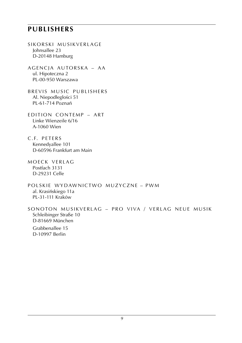## **publishers**

- SIKORSKI MUSIKVERLAGE Johnsallee 23 D-20148 Hamburg
- AGENCJA AUTORSKA AA ul. Hipoteczna 2 PL-00-950 Warszawa
- BREVIS MUSIC PUBLISHERS Al. Niepodległości 51 PL-61-714 Poznań
- EDITION CONTEMP ART Linke Wienzeile 6/16 A-1060 Wien
- c . f. PETERS Kennedyallee 101 D-60596 Frankfurt am Main
- M OECK VERLAG Postfach 3131 D-29231 Celle
- POLSKIE WYDAWNICTWO MUZYCZNE PWM al. Krasińskiego 11a PL-31-111 Kraków

SONOTON MUSIKVERLAG – PRO VIVA / VERLAG NEUE MUSIK Schleibinger Straße 10 D-81669 München Grabbenallee 15 D-10997 Berlin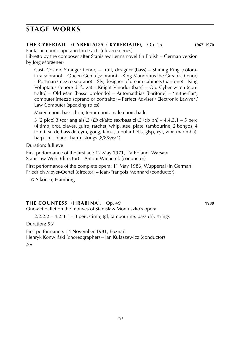## **stage works**

### **the cyberiad** (**CYBERIADA** / **kyberiade**), Op. 15 **1967**-**1970**

Fantastic comic opera in three acts (eleven scenes)

Libretto by the composer after Stanisław Lem's novel (in Polish – German version by Jörg Morgener)

Cast: Cosmic Stranger (tenor) – Trull, designer (bass) – Shining Ring (coloratura soprano) – Queen Genia (soprano) – King Mandrilius the Greatest (tenor) – Postman (mezzo soprano) – Sly, designer of dream cabinets (baritone) – King Voluptatus (tenore di forza) – Knight Vinodur (bass) – Old Cyber witch (contralto) – Old Man (basso profondo) – Automatthias (baritone) – 'In-the-Ear', computer (mezzo soprano or contralto) – Perfect Adviser / Electronic Lawyer / Law Computer (speaking roles)

Mixed choir, bass choir, tenor choir, male choir, ballet

3 (2 picc).3 (cor anglais).3 (*Eb* cl/alto sax/bass cl).3 (db bn) – 4.4.3.1 – 5 perc (4 timp, crot, claves, guiro, ratchet, whip, steel plate, tambourine, 2 bongos, 4 tom-t, sn dr, bass dr, cym, gong, tam-t, tubular bells, glsp, xyl, vibr, marimba). harp. cel. piano. harm. strings (8/8/8/6/4)

Duration: full eve

First performance of the first act: 12 May 1971, TV Poland, Warsaw Stanisław Wohl (director) – Antoni Wicherek (conductor)

First performance of the complete opera: 11 May 1986, Wuppertal (in German) Friedrich Meyer-Oertel (director) – Jean-François Monnard (conductor)

© Sikorski, Hamburg

## **THE COUNTESS** (**HRABINA**), Op. 49 **1980**

One-act ballet on the motives of Stanisław Moniuszko's opera

 $2.2.2.2 - 4.2.3.1 - 3$  perc (timp, tgl, tambourine, bass dr). strings

Duration: 53'

First performance: 14 November 1981, Poznań Henryk Konwiński (choreographer) – Jan Kulaszewicz (conductor)

*lost*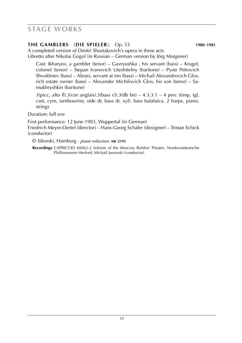## **stage works**

## **THE GAMBLERS** (**die spieler**), Op. 53 **1980**-**1981**

A completed version of Dmitri Shostakovich's opera in three acts Libretto after Nikolai Gogol (in Russian – German version by Jörg Morgener)

Cast: Ikharyov, a gambler (tenor) – Gavryushka , his servant (bass) – Krugel, colonel (tenor) – Stepan Ivanovich Uteshitelny (baritone) – Pyotr Petrovich Shvokhnev (bass) – Alexei, servant at inn (bass) – Michail Alexandrovich Glov, rich estate owner (bass) – Alexander Michilovich Glov, his son (tenor) – Samukhryshkin (baritone)

 $3(picc, alto fl).3(cor anglais).3(bass cl).3(db bn) – 4.3.3.1 – 4 perc (timp, tgl,$ cast, cym, tambourine, side dr, bass dr, xyl). bass balalaica. 2 harps. piano. strings

Duration: full eve

First performance: 12 June 1983, Wuppertal (in German) Friedrich Meyer-Oertel (director) – Hans-Georg Schäfer (diesigner) – Tristan Schick (conductor)

© Sikorski, Hamburg · *piano reduction:* **sik 2195**

**Recordings:** CAPRICCIO 60062-2 Soloists of the Moscow Bolshoi Theatre, Nordwestdeutsche Philharmonie Herford, Michail Jurowski (conductor)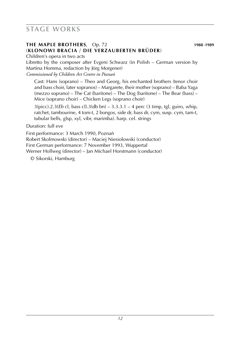## **stage works**

## **THE MAPLE BROTHERS**, Op. 72 **1988**-**1989** (**KLONOWI BRACIA** / **die verzauberten brüder**)

Children's opera in two acts Libretto by the composer after Evgeni Schwarz (in Polish – German version by Martina Homma, redaction by Jörg Morgener) *Commissioned by Children Art Centre in Poznan´*

Cast: Hans (soprano) – Theo and Georg, his enchanted brothers (tenor choir and bass choir, later sopranos) – Margarete, their mother (soprano) – Baba Yaga (mezzo soprano) – The Cat (baritone) – The Dog (baritone) – The Bear (bass) – Mice (soprano choir) – Chicken Legs (soprano choir)

 $3(picc)$ .2.3(*Eb* cl, bass cl).3(db bn) – 3.3.3.1 – 4 perc (3 timp, tgl, guiro, whip, ratchet, tambourine, 4 tom-t, 2 bongos, side dr, bass dr, cym, susp. cym, tam-t, tubular bells, glsp, xyl, vibr, marimba). harp. cel. strings

Duration: full eve

First performance: 3 March 1990, Poznań Robert Skolmowski (director) – Maciej Niesiołowski (conductor) First German performance: 7 November 1993, Wuppertal Werner Hollweg (director) – Jan Michael Horstmann (conductor)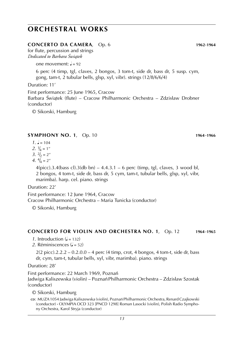### **CONCERTO DA CAMERA**, Op. 6 **1962**-**1964**

for flute, percussion and strings *Dedicated to Barbara Świątek*

one movement:  $\frac{1}{2} = 92$ 

6 perc (4 timp, tgl, claves, 2 bongos, 3 tom-t, side dr, bass dr, 5 susp. cym, gong, tam-t, 2 tubular bells, glsp, xyl, vibr). strings (12/8/6/6/4)

Duration: 11'

First performance: 25 June 1965, Cracow Barbara Świątek (flute) – Cracow Philharmonic Orchestra – Zdzisław Drobner<br><sup>(conductor)</sup> (conductor)

© Sikorski, Hamburg

### **SYMPHONY NO. 1**, Op. 10 **1964**-**1966**

- $1. \, \text{J} = 104$
- 2.  $\frac{1}{4} = 1$ "
- $3. \frac{2}{2} = 2''$
- 4.  $\frac{4}{4}$  = 2"

 $4(pice).3.4(bass cl).3(db bn) - 4.4.3.1 - 6 perc (time, tgl, clauses, 3 wood bl,$ 2 bongos, 4 tom-t, side dr, bass dr, 5 cym, tam-t, tubular bells, glsp, xyl, vibr, marimba). harp. cel. piano. strings

Duration: 22'

First performance: 12 June 1964, Cracow Cracow Philharmonic Orchestra – Maria Tunicka (conductor)

© Sikorski, Hamburg

- *1*. Introduction  $(l = 132)$
- 2. Réminiscences  $\mathcal{L} = 52$

 $2(2 \text{ picc}).2.2.2 - 0.2.0.0 - 4 \text{ perc}$  (4 timp, crot, 4 bongos, 4 tom-t, side dr, bass dr, cym, tam-t, tubular bells, xyl, vibr, marimba). piano. strings

Duration: 28'

First performance: 22 March 1969, Poznań

Jadwiga Kaliszewska (violin) – Poznań Philharmonic Orchestra – Zdzisław Szostak (conductor)

**cd**: MUZA 1054 Jadwiga Kaliszewska (violin), Poznan´ Philharmonic Orchestra, Renard Czajkowski (conductor) **·** OLYMPIA OCD 323 [PNCD 1298] Roman Lasocki (violin), Polish Radio Symphony Orchestra, Karol Stryja (conductor)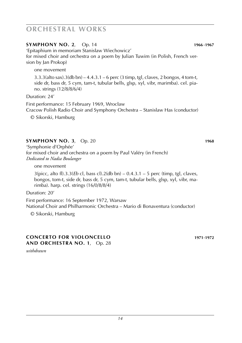## **SYMPHONY NO. 2**, Op. 14 **1966**-**1967**

'Epitaphium in memoriam Stanisl**/** aw Wiechowicz' for mixed choir and orchestra on a poem by Julian Tuwim (in Polish, French version by Jan Prokop)

one movement

 $3.3.3$ (alto sax). $3$ (db bn) – 4.4.3.1 – 6 perc (3 timp, tgl, claves, 2 bongos, 4 tom-t, side dr, bass dr, 5 cym, tam-t, tubular bells, glsp, xyl, vibr, marimba). cel. piano. strings (12/8/8/6/4)

Duration: 24'

First performance: 15 February 1969, Wrocław Cracow Polish Radio Choir and Symphony Orchestra – Stanisław Has (conductor)

© Sikorski, Hamburg

## **SYMPHONY NO. 3**, Op. 20 **1968**

'Symphonie d'Orphée' for mixed choir and orchestra on a poem by Paul Valéry (in French) *Dedicated to Nadia Boulanger*

one movement

3(picc, alto fl).3.3(*Eb* cl, bass cl).2(db bn) – 0.4.3.1 – 5 perc (timp, tgl, claves, bongos, tom-t, side dr, bass dr, 5 cym, tam-t, tubular bells, glsp, xyl, vibr, marimba). harp. cel. strings (16/0/8/8/4)

Duration: 20'

First performance: 16 September 1972, Warsaw National Choir and Philharmonic Orchestra – Mario di Bonaventura (conductor)

© Sikorski, Hamburg

## **CONCERTO FOR VIOLONCELLO 1971**-**1972 AND ORCHESTRA NO. 1**, Op. 28

*withdrawn*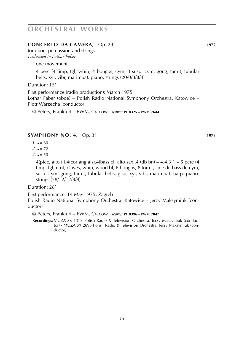### **CONCERTO DA CAMERA**, Op. 29 **1972**

for oboe, percussion and strings *Dedicated to Lothar Faber*

one movement

4 perc (4 timp, tgl, whip, 4 bongos, cym, 3 susp. cym, gong, tam-t, tubular bells, xyl, vibr, marimba). piano. strings (20/0/8/8/4)

Duration: 15'

First performance (radio production): March 1975 Lothar Faber (oboe) – Polish Radio National Symphony Orchestra, Katowice – Piotr Warzecha (conductor)

© Peters, Frankfurt – PWM, Cracow · *scores:* **pe 8325 – pwm 7644**

### **SYMPHONY NO. 4**, Op. 31 **1973**

- $1. \, \text{J} = 60$
- $2. \, \text{J} = 72$
- $3. \, \text{J} = 50$

4(picc, alto fl).4(cor anglais).4(bass cl, alto sax).4 (db bn)  $-4.4.3.1 - 5$  perc (4) timp, tgl, crot, claves, whip, wood bl, 6 bongos, 8 tom-t, side dr, bass dr, cym, susp. cym, gong, tam-t, tubular bells, glsp, xyl, vibr, marimba). harp. piano. strings (28/12/12/8/8)

Duration: 28'

First performance: 14 May 1975, Zagreb

Polish Radio National Symphony Orchestra, Katowice – Jerzy Maksymiuk (conductor)

© Peters, Frankfurt – PWM, Cracow · *scores:* **pe 8396** – **pwm 7847**

 **Recordings**: MUZA SX 1313 Polish Radio & Television Orchestra, Jerzy Maksymiuk (conductor) **·** MUZA SX 2696 Polish Radio & Television Orchestra, Jerzy Maksymiuk (conductor)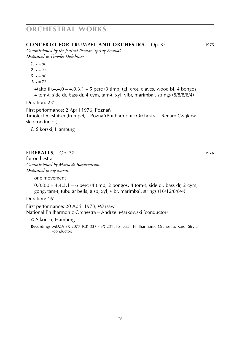### **CONCERTO FOR TRUMPET AND ORCHESTRA**, Op. 35 **1975**

*Commissioned by the festival Poznań Spring Festival Dedicated to Timofei Dokshitser*

- $1. \, \text{J} = 96$
- $2. \, \text{J} = 72$
- $3. \, \text{J} = 96$
- $4. \, J = 72$

 $4$ (alto fl).4.4.0 – 4.0.3.1 – 5 perc (3 timp, tgl, crot, claves, wood bl, 4 bongos, 4 tom-t, side dr, bass dr, 4 cym, tam-t, xyl, vibr, marimba). strings (8/8/8/8/4)

Duration: 23'

First performance: 2 April 1976, Poznań Timofei Dokshitser (trumpet) – Poznań Philharmonic Orchestra – Renard Czajkowski (conductor)

© Sikorski, Hamburg

## **FIREBALLS**, Op. 37 **1976**

for orchestra *Commissioned by Mario di Bonaventura Dedicated to my parents*

one movement

0.0.0.0 – 4.4.3.1 – 6 perc (4 timp, 2 bongos, 4 tom-t, side dr, bass dr, 2 cym, gong, tam-t, tubular bells, glsp, xyl, vibr, marimba). strings (16/12/8/8/4)

Duration: 16'

First performance: 20 April 1978, Warsaw

National Philharmonic Orchestra – Andrzej Markowski (conductor)

© Sikorski, Hamburg

 **Recordings**: MUZA SX 2077 [CK 337 · SX 2318] Silesian Philharmonic Orchestra, Karol Stryja (conductor)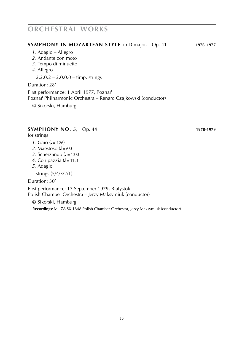### **SYMPHONY IN MOZARTEAN STYLE** in D major, Op. 41 **1976**-**1977**

- *1*. Adagio Allegro
- *2*. Andante con moto
- *3*. Tempo di minuetto
- *4*. Allegro

2.2.0.2 – 2.0.0.0 – timp. strings

Duration: 28'

First performance: 1 April 1977, Poznań Poznań Philharmonic Orchestra – Renard Czajkowski (conductor)

© Sikorski, Hamburg

### **SYMPHONY NO. 5**, Op. 44 **1978**-**1979**

for strings

- *1*. Gaio ( $= 126$ )
- 2. Maestoso ( $\sqrt{=}$  = 66)
- 3. Scherzando  $(J = 138)$
- 4. Con pazzia  $\mathcal{L} = 112$
- *5*. Adagio

strings (5/4/3/2/1)

Duration: 30'

First performance: 17 September 1979, Białystok Polish Chamber Orchestra – Jerzy Maksymiuk (conductor)

© Sikorski, Hamburg

 **Recordings**: MUZA SX 1848 Polish Chamber Orchestra, Jerzy Maksymiuk (conductor)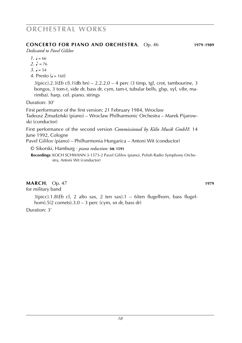### **CONCERTO for piano and orchestra**, Op. 46 **1979**-**1989**

*Dedicated to Pavel Gililov*

- $1. \, \text{J} = 66$
- 2.  $\mu$  = 76
- 3.  $\sqrt{ } = 54$
- *4*. Presto  $(l = 160)$

3(picc).2.3(*Eb* cl).1(db bn) – 2.2.2.0 – 4 perc (3 timp, tgl, crot, tambourine, 3 bongos, 3 tom-t, side dr, bass dr, cym, tam-t, tubular bells, glsp, xyl, vibr, marimba). harp. cel. piano. strings

Duration: 30'

First performance of the first version: 21 February 1984, Wrocław Tadeusz Z. mudzn´ski (piano) – Wrocl**/** aw Philharmonic Orchestra – Marek Pijarowski (conductor)

First performance of the second version *Commissioned by Köln Musik GmbH*: 14 June 1992, Cologne

Pavel Gililov (piano) – Philharmonia Hungarica – Antoni Wit (conductor)

© Sikorski, Hamburg · *piano reduction:* **sik 1591**

Recordings: KOCH SCHWANN 3-1573-2 Pavel Gililov (piano), Polish Radio Symphony Orchestra, Antoni Wit (conductor)

## **MARCH**, Op. 47 **1979**

for military band

3(picc).1.8(*Eb* cl, 2 alto sax, 2 ten sax).1 – 6(ten flugelhorn, bass flugelhorn).5(2 cornets).3.0 – 3 perc (cym, sn dr, bass dr)

Duration: 3'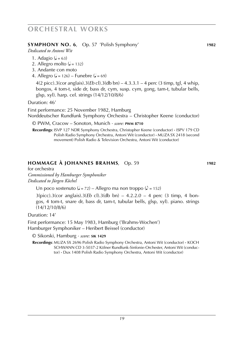## **SYMPHONY NO. 6**, Op. 57 'Polish Symphony' **1982**

*Dedicated to Antoni Wit*

- 1. Adagio ( $= 63$ )
- 2. Allegro molto  $\mathcal{L} = 132$
- 3. Andante con moto
- 4. Allegro ( $d = 126$ ) Funebre ( $d = 69$ )

4(2 picc).3(cor anglais).3(*Eb* cl).3(db bn) – 4.3.3.1 – 4 perc (3 timp, tgl, 4 whip, bongos, 4 tom-t, side dr, bass dr, cym, susp. cym, gong, tam-t, tubular bells, glsp, xyl). harp. cel. strings (14/12/10/8/6)

Duration: 46'

First performance: 25 November 1982, Hamburg

Norddeutscher Rundfunk Symphony Orchestra – Christopher Keene (conductor)

© PWM, Cracow – Sonoton, Munich · *score:* **pwm 8710**

 **Recordings**: ISVP 127 NDR Symphony Orchestra, Christopher Keene (conductor) **·** ISPV 179 CD Polish Radio Symphony Orchestra, Antoni Wit (conductor) **·** MUZA SX 2418 (second movement) Polish Radio & Television Orchestra, Antoni Wit (conductor)

## **HOMMAGE À JOHANNES BRAHMS**, Op. 59 **1982**

for orchestra *Commissioned by Hamburger Symphoniker Dedicated to Jürgen Köchel*

Un poco sostenuto ( $d = 72$ ) – Allegro ma non troppo ( $d = 152$ )

3(picc).3(cor anglais).3(*Eb* cl).3(db bn) – 4.2.2.0 – 4 perc (3 timp, 4 bongos, 4 tom-t, snare dr, bass dr, tam-t, tubular bells, glsp, xyl). piano. strings (14/12/10/8/6)

Duration: 14'

First performance: 15 May 1983, Hamburg ('Brahms-Wochen') Hamburger Symphoniker – Heribert Beissel (conductor)

© Sikorski, Hamburg · *score:* **sik 1429**

 **Recordings**: MUZA SX 2696 Polish Radio Symphony Orchestra, Antoni Wit (conductor) **·** KOCH SCHWANN CD 3-5037-2 Kölner Rundfunk-Sinfonie-Orchester, Antoni Wit (conductor) **·** Dux 1408 Polish Radio Symphony Orchestra, Antoni Wit (conductor)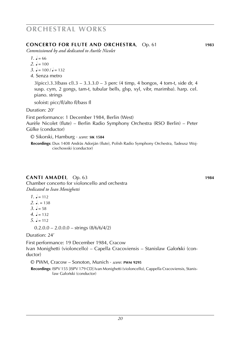### **CONCERTO FOR FLUTE AND ORCHESTRA**, Op. 61 **1983**

*Commissioned by and dedicated to Aurèle Nicolet*

- $1. \, \text{J} = 66$
- $2. \, J = 100$
- $3. \, \text{J} = 100 \, \text{/} \, \text{J} = 132$
- *4*. Senza metro

 $3(pice).3.3(bass cl).3 - 3.3.3.0 - 3 perc (4 timp, 4 bongos, 4 tom-t, side dr, 4)$ susp. cym, 2 gongs, tam-t, tubular bells, glsp, xyl, vibr, marimba). harp. cel. piano. strings

soloist: picc/fl/alto fl/bass fl

Duration: 20'

First performance: 1 December 1984, Berlin (West) Aurèle Nicolet (flute) – Berlin Radio Symphony Orchestra (RSO Berlin) – Peter Gülke (conductor)

© Sikorski, Hamburg · *score:* **sik 1584**

 **Recordings**: Dux 1408 András Adorján (flute), Polish Radio Symphony Orchestra, Tadeusz Wojciechowski (conductor)

## **CANTI AMADEI**, Op. 63 **1984**

Chamber concerto for violoncello and orchestra *Dedicated to Ivan Monighetti*

- $1. \, \text{J} = 112$
- $2^{\circ}$  = 138
- $3. \, \, J = 58$
- $4. \, \text{J} = 132$
- $5. J = 112$ 
	- $0.2.0.0 2.0.0.0 \text{strings} (8/6/6/4/2)$

Duration: 24'

First performance: 19 December 1984, Cracow Ivan Monighetti (violoncello) – Capella Cracoviensis – Stanisław Gałoński (conductor)

© PWM, Cracow – Sonoton, Munich · *score:* **pwm 9295**

 **Recordings**: ISPV 155 [ISPV 179 CD] Ivan Monighetti (violoncello), Cappella Cracoviensis, Stanisław Gałoński (conductor)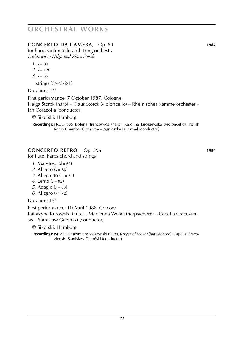## **CONCERTO DA CAMERA**, Op. 64 **1984**

for harp, violoncello and string orchestra *Dedicated to Helga and Klaus Storck*

- $1. \, \text{J} = 80$
- $2. \, \text{J} = 126$
- $3 \text{ } 2 = 56$

strings (5/4/3/2/1)

Duration: 24'

First performance: 7 October 1987, Cologne Helga Storck (harp) – Klaus Storck (violoncello) – Rheinisches Kammerorchester – Jan Corazolla (conductor)

© Sikorski, Hamburg

**Recordings**: PRCD 085 Bołena Trencowicz (harp), Karolina Jaroszewska (violoncello), Polish Radio Chamber Orchestra – Agnieszka Duczmal (conductor)

## **CONCERTO RETRO**, Op. 39a **1986**

for flute, harpsichord and strings

- *1*. Maestoso ( $= 69$ )
- 2. Allegro ( $= 88$ )
- 3. Allegretto  $(d. = 54)$
- *4*. Lento  $\overline{a} = 92$
- *5*. Adagio ( $= 60$ )
- *6*. Allegro ( $= 72$ )

Duration: 15'

First performance: 10 April 1988, Cracow Katarzyna Kurowska (flute) – Marzenna Wolak (harpsichord) – Capella Cracoviensis – Stanisław Gałoński (conductor)

© Sikorski, Hamburg

Recordings: ISPV 155 Kazimierz Moszyński (flute), Krzysztof Meyer (harpsichord), Capella Cracoviensis, Stanisław Gałoński (conductor)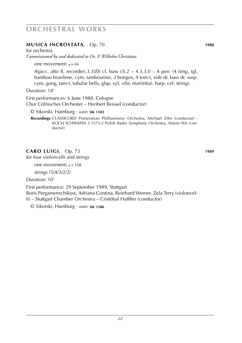## **MUSICA INCROSTATA**, Op. 70 **1988**

for orchestra

*Commissioned by and dedicated to Dr. F. Wilhelm Christians*

one movement:  $J = 66$ 

4(picc, alto fl, recorder).3.3(*Eb* cl, bass cl).2 – 4.3.3.0 – 4 perc (4 timp, tgl, bamboo brasilene, cym, tambourine, 2 bongos, 4 tom-t, side dr, bass dr, susp. cym, gong, tam-t, tubular bells, glsp, xyl, vibr, marimba). harp. cel. strings

Duration: 18'

First performances: 6 June 1988, Cologne Chur Cölnisches Orchester – Heribert Beissel (conductor)

© Sikorski, Hamburg · *score:* **sik 1583**

 **Recordings**: CLASSICORD Pomeranian Philharmonic Orchestra, Michael Zilm (conductor) **·** Koch schwann 3-1573-2 Polish Radio Symphony Orchestra, Antoni Wit (conductor)

## **CARO LUIGI**, Op. 73 **1989**

for four violoncelli and strings

one movement:  $J = 108$ 

strings (5/4/3/2/2)

Duration: 10'

First performance: 29 September 1989, Stuttgart Boris Pergamenschikow, Adriana Contina, Reinhard Werner, Zela Terry (violoncelli) – Stuttgart Chamber Orchestra – Cristóbal Halffter (conductor)

© Sikorski, Hamburg · *score:* **sik 1586**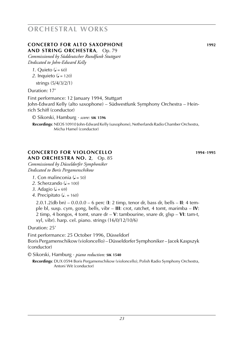### **CONCERTO FOR ALTO SAXOPHONE 1992 AND STRING ORCHESTRA**, Op. 79

*Commissioned by Süddeutscher Rundfunk Stuttgart Dedicated to John-Edward Kelly*

- *1*. Ouieto  $(J = 60)$
- *2*. Inquieto ( $\sqrt{ } = 120$ )

strings (5/4/3/2/1)

Duration: 17'

First performance: 12 January 1994, Stuttgart John-Edward Kelly (alto saxophone) – Südwestfunk Symphony Orchestra – Heinrich Schiff (conductor)

© Sikorski, Hamburg · *score:* **sik 1596**

 **Recordings**: NEOS 10910 John-Edward Kelly (saxophone), Netherlands Radio Chamber Orchestra, Micha Hamel (conductor)

### **CONCERTO FOR VIOLONCELLO 1994**-**1995 AND ORCHESTRA NO. 2**, Op. 85

*Commissioned by Düsseldorfer Symphoniker Dedicated to Boris Pergamenschikow*

- 1. Con malinconia  $\mathcal{L} = 50$
- 2. Scherzando ( $d = 100$ )
- 3. Adagio ( $= 69$ )
- *4*. Precipitato (**J**. = 160)

2.0.1.2(db bn) – 0.0.0.0 – 6 perc (**I**: 2 timp, tenor dr, bass dr, bells – **II**: 4 temple bl, susp. cym, gong, bells, vibr – **III**: crot, ratchet, 4 tomt, marimba – **IV**: 2 timp, 4 bongos, 4 tomt, snare dr – **V**: tambourine, snare dr, glsp – **VI**: tam-t, xyl, vibr). harp. cel. piano. strings (16/0/12/10/6)

Duration: 25'

First performance: 25 October 1996, Düsseldorf Boris Pergamenschikow (violoncello) – Düsseldorfer Symphoniker – Jacek Kaspszyk (conductor)

© Sikorski, Hamburg · *piano reduction:* **sik 1540**

 **Recordings**: DUX 0594 Boris Pergamenschikow (violoncello), Polish Radio Symphony Orchestra, Antoni Wit (conductor)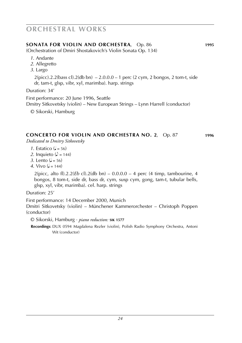## **SONATA for violin and orchestra**, Op. 86 **1995**

(Orchestration of Dmiri Shostakovich's Violin Sonata Op. 134)

- *1*. Andante
- *2*. Allegretto
- *3*. Largo

 $2$ (picc).2.2(bass cl).2(db bn)  $-2.0.0$ .0 – 1 perc (2 cym, 2 bongos, 2 tom-t, side dr, tam-t, glsp, vibr, xyl, marimba). harp. strings

Duration: 34'

First performance: 20 June 1996, Seattle Dmitry Sitkovetsky (violin) – New European Strings – Lynn Harrell (conductor)

© Sikorski, Hamburg

### **CONCERTO FOR VIOLIN AND ORCHESTRA no. 2**, Op. 87 **1996** *Dedicated to Dmitry Sitkovetsky*

- *1*. Estatico ( $J = 56$ )
- 2. Inquieto ( $\sqrt{ }$  = 144)
- *3*. Lento  $(l = 56)$
- *4*. Vivo  $(1 144)$

2(picc, alto fl).2.2(*Eb* cl).2(db bn) – 0.0.0.0 – 4 perc (4 timp, tambourine, 4 bongos, 8 tom-t, side dr, bass dr, cym, susp cym, gong, tam-t, tubular bells, glsp, xyl, vibr, marimba). cel. harp. strings

Duration: 25'

First performance: 14 December 2000, Munich

Dmitri Sitkovetsky (violin) – Münchener Kammerorchester – Christoph Poppen (conductor)

© Sikorski, Hamburg · *piano reduction:* **sik 1577**

 **Recordings**: DUX 0594 Magdalena Rezler (violin), Polish Radio Symphony Orchestra, Antoni Wit (conductor)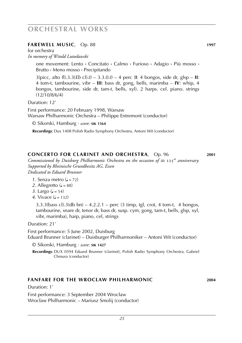### **farewell music**, Op. 88 **1997**

for orchestra *In memory of Witold Lutosławski*

> one movement: Lento **·** Concitato **·** Calmo **·** Furioso **·** Adagio **·** Più mosso **·** Brutto **·** Meno mosso **·** Precipitando

> 3(picc, alto fl).3.3(*Eb* cl).0 – 3.3.0.0 – 4 perc (**I**: 4 bongos, side dr, glsp – **II**: 4 tom-t, tambourine, vibr – **III**: bass dr, gong, bells, marimba – **IV**: whip, 4 bongos, tambourine, side dr, tam-t, bells, xyl). 2 harps. cel. piano. strings (12/10/8/6/4)

Duration: 12'

First performance: 20 February 1998, Warsaw Warsaw Philharmonic Orchestra – Philippe Entremont (conductor)

© Sikorski, Hamburg · *score:* **sik 1564**

 **Recordings**: Dux 1408 Polish Radio Symphony Orchestra, Antoni Wit (conductor)

## **concerto for clarinet and orchestra**, Op. 96 **2001**

*Commissioned by Duisburg Philharmonic Orchestra on the occasion of its* 125*th anniversary. Supported by Rheinische Grundbesitz AG, Essen Dedicated to Eduard Brunner*

- *1*. Senza metro  $\mathcal{L} = 72$
- 2. Allegretto  $(J = 88)$
- *3*. Largo  $(J = 54)$
- 4. Vivace ( $=$  132)

3.3.3(bass cl).3(db bn) – 4.2.2.1 – perc (3 timp, tgl, crot, 4 tom-t, 4 bongos, tambourine, snare dr, tenor dr, bass dr, susp. cym, gong, tam-t, bells, glsp, xyl, vibr, marimba), harp, piano, cel, strings

Duration: 21'

First performance: 5 June 2002, Duisburg Eduard Brunner (clarinet) – Duisburger Philharmoniker – Antoni Wit (conductor)

© Sikorski, Hamburg · *score:* **sik 1427**

 **Recordings**: DUX 0594 Eduard Brunner (clarinet), Polish Radio Symphony Orchestra, Gabriel Chmura (conductor)

### **fanfare for the wrocl/ aw philharmonic 2004**

Duration: 1'

First performance: 3 September 2004 Wrocław Wrocław Philharmonic – Mariusz Smolij (conductor)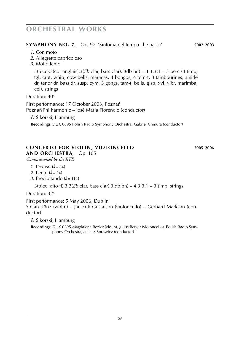## **SYMPHONY NO. 7**, Op. 97 'Sinfonia del tempo che passa' **2002**-**2003**

- *1*. Con moto
- *2*. Allegretto capriccioso
- *3*. Molto lento

3(picc).3(cor anglais).3(*Eb* clar, bass clar).3(db bn) – 4.3.3.1 – 5 perc (4 timp, tgl, crot, whip, cow bells, maracas, 4 bongos, 4 tom-t, 3 tambourines, 3 side dr, tenor dr, bass dr, susp. cym, 3 gongs, tam-t, bells, glsp, xyl, vibr, marimba, cel). strings

Duration: 40'

First performance: 17 October 2003, Poznań Poznań Philharmonic – José Maria Florencio (conductor)

© Sikorski, Hamburg

 **Recordings**: DUX 0695 Polish Radio Symphony Orchestra, Gabriel Chmura (conductor)

## **concerto for violin, violoncello 2005**-**2006**

**and orchestra**, Op. 105

*Commissioned by the RTE*

- *1*. Deciso ( $= 84$ )
- *2*. Lento  $(d = 54)$
- 3. Precipitando ( $J = 112$ )

3(picc, alto fl).3.3(*Eb* clar, bass clar).3(db bn) – 4.3.3.1 – 3 timp. strings

Duration: 32'

First performance: 5 May 2006, Dublin

Stefan Tönz (violin) – Jan-Erik Gustafson (violoncello) – Gerhard Markson (conductor)

© Sikorski, Hamburg

 **Recordings**: DUX 0695 Magdalena Rezler (violin), Julius Berger (violoncello), Polish Radio Symphony Orchestra, **/** Lukasz Borowicz (conductor)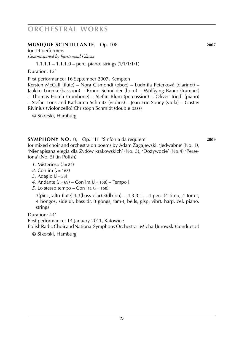## **musique scintillante**, Op. 108 **2007**

for 14 performers *Commissioned by Fürstensaal Classix*

 $1.1.1.1 - 1.1.1.0$  – perc. piano. strings  $(1/1/1/1/1)$ 

Duration: 12'

First performance: 16 September 2007, Kempten

Kersten McCall (flute) – Nora Cismondi (oboe) – Ludmila Peterková (clarinet) – Jaakko Luoma (bassoon) – Bruno Schneider (horn) – Wolfgang Bauer (trumpet) – Thomas Horch (trombone) – Stefan Blum (percussion) – Oliver Triedl (piano) – Stefan Töns and Katharina Schmitz (violins) – Jean-Eric Soucy (viola) – Gustav Rivinius (violoncello) Christoph Schmidt (double bass)

© Sikorski, Hamburg

## **SYMPHONY NO. 8**, Op. 111 'Sinfonia da requiem' **2009**

for mixed choir and orchestra on poems by Adam Zagajewski, 'Jedwabne' (No. 1), 'Nienapisana elegia dla Z· ydów krakowskich' (No. 3), 'Doz. ywocie' (No.4) 'Persefona' (No. 5) (in Polish)

- *1*. Misterioso ( $= 84$ )
- *2*. Con ira  $\mathcal{L} = 168$
- *3*. Adagio ( $J = 58$ )
- *4*. Andante ( $J = 69$ ) Con ira ( $J = 168$ ) Tempo I
- *5*. Lo stesso tempo Con ira ( $\sqrt{ }$  = 168)

 $3(b)$  since, alto flute).3.3(bass clar).3(db bn) – 4.3.3.1 – 4 perc (4 timp, 4 tom-t, 4 bongos, side dr, bass dr, 3 gongs, tam-t, bells, glsp, vibr). harp. cel. piano. strings

Duration: 44'

First performance: 14 January 2011, Katowice

Polish Radio Choir and National Symphony Orchestra – Michail Jurowski (conductor)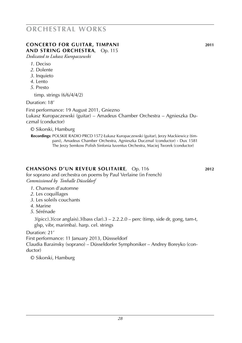### **concerto for guitar, TIMPANI 2011 and string orchestra**, Op. 115

*Dedicated to Lukasz Kuropaczewski*

- *1*. Deciso
- *2*. Dolente
- *3*. Inquieto
- *4*. Lento
- *5*. Presto

timp. strings (6/6/4/4/2)

Duration: 18'

First performance: 19 August 2011, Gniezno Lukasz Kuropaczewski (guitar) – Amadeus Chamber Orchestra – Agnieszka Duczmal (conductor)

© Sikorski, Hamburg

 **Recordings**: POLSKIE RADIO PRCD 1572 **/** Lukasz Kuropaczewski (guitar), Jerzy Mackiewicz (timpani), Amadeus Chamber Orchestra, Agnieszka Duczmal (conductor) **·** Dux 1581 The Jerzy Semkow Polish Sinfonia Iuventus Orchestra, Maciej Tworek (conductor)

## **chansons d'un reveur solitaire**, Op. 116 **2012**

for soprano and orchestra on poems by Paul Verlaine (in French) *Commissioned by Tonhalle Düsseldorf*

## *1*. Chanson d'automne

- *2*. Les coquillages
- *3*. Les soleils couchants
- *4*. Marine
- *5*. Sérénade

3(picc).3(cor anglais).3(bass clar).3 – 2.2.2.0 – perc (timp, side dr, gong, tam-t, glsp, vibr, marimba). harp. cel. strings

Duration: 21'

First performance: 11 January 2013, Düssseldorf

Claudia Barainsky (soprano) – Düsseldorfer Symphoniker – Andrey Boreyko (conductor)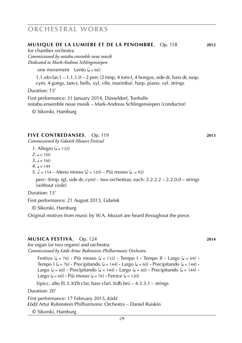### **musique de la lumiere et de la penombre**, Op. 118 **2012**

for chamber orchestra

*Commissioned by notabu.ensemble neue musik Dedicated to Mark-Andreas Schlingensiepen*

one movement Lento  $(J = 66)$ 

1.1.*eb* clar.1 – 1.1.1.0 – 2 perc (2 timp, 4 tom-t, 4 bongos, side dr, bass dr, susp. cym, 4 gongs, tam-t, bells, xyl, vibr, marimba). harp. piano. cel. strings

Duration: 15'

First performance: 31 January 2014, Düsseldorf, Tonhalle notabu.ensemble neue musik – Mark-Andreas Schlingensiepen (conductor)

© Sikorski, Hamburg

### **five contredanses**, Op. 119 **2013**

*Commissioned by Gdańsk Mozart Festival*

*1*. Allegro ( $= 132$ )

 $2. \, \text{J} = 100$ 

 $3 \text{ J} = 160$ 

 $4 = 144$ 

*5*.  $\sqrt{ }$  = 154 – Meno mosso ( $\sqrt{ }$  = 120) – Più mosso ( $\sqrt{ }$  = 92)

perc: (timp, tgl, side dr, cym) – two orchestras, each: 2.2.2.2 – 2.2.0.0 – strings (without viole)

Duration: 15'

First performance: 21 August 2013, Gdańsk

© Sikorski, Hamburg

Original motives from music by W.A. Mozart are heard throughout the piece.

### **musica festiva**, Op. 124 **2014**

for organ (or two organs) and orchestra *Commissioned by Łódź Artur Rubinstein Philharmonic Orchestra*

Festivo  $(1 = 76)$  · Più mosso  $(1 = 132)$  · Tempo I · Tempo II · Largo  $(1 = 69)$  · Tempo I ( $J = 76$ ) **·** Precipitando ( $J = 144$ ) **·** Largo ( $J = 60$ ) **·** Precipitando ( $J = 144$ ) **·** Largo  $(J = 60)$  **·** Precipitando  $(J = 144)$  **·** Largo  $(J = 60)$  · Precipitando  $(J = 144)$  · Largo ( $J = 60$ ) **·** Più mosso ( $J = 76$ ) **·** Feroce ( $J = 120$ )

3(picc, alto fl).3.3(*Eb* clar, bass clar).3(db bn) – 4.3.3.1 – strings

Duration: 20'

First performance: 17 February 2015, **/** Lódz´ **/** Lódz´ Artur Rubinstein Philharmonic Orchestra – Daniel Raiskin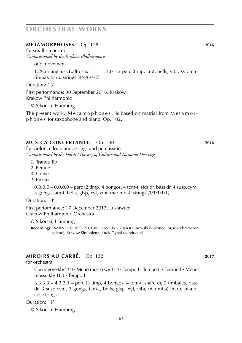### **metamorphoses**, Op. 128 **2016**

for small orchestra *Commissioned by the Krakow Philharmonic*

one movement

1.2(cor anglais).1.alto sax.1 –  $1.1.1.0 - 2$  perc (timp, crot, bells, vibr, xyl, marimba). harp. strings (4/4/6/4/2)

Duration: 13'

First performance: 30 September 2016, Krakow Krakow Philharmonic

© Sikorski, Hamburg

The present work, Metamophoses, is based on matrial from Metamorp h o s e s for saxophone and piano, Op. 102.

### **MUSICA CONCERTANTE**, Op. 130 **2016**

for violoncello, piano, strings and percussion *Commissioned by the Polish Ministry of Culture and National Heritage*

- *1*. Tranquillo
- *2*. Feroce
- *3*. Grave
- *4*. Presto

0.0.0.0 – 0.0.0.0 – perc (2 timp, 4 bongos, 4 tom-t, sidr dr, bass dr, 4 susp.cym, 3 gongs, tam-t, bells, glsp, xyl, vibr, marimba). strings (1/1/1/1/1)

Duration: 18'

First performance: 17 December 2017, Lusl**/** awice Cracow Philharmonic Orchestra

© Sikorski, Hamburg

**Recordings:** WARNER CLASSICS 01902 9 55705 5 2 Jan Kalinowski (violoncello), Marek Szlezer (piano), Krakow Sinfonietta, Jurek Dybal**/** (conductor)

### **miroirs au carré**, Op. 132 **2017**

for orchestra

Con vigore  $(J = 132)$  **·** Meno mosso  $(J = 112)$  **·** Tempo I **·** Tempo I **·** Tempo I **·** Meno mosso  $(J = 112) \cdot$  Tempo I

3.3.3.3 – 4.3.3.1 – perc (3 timp, 4 bongos, 4 tom-t, snare dr, 2 timbales, bass dr, 3 susp.cym, 3 gongs, tam-t, bells, glsp, xyl, vibr, marimba). harp, piano, cel, strings

Duration: 11'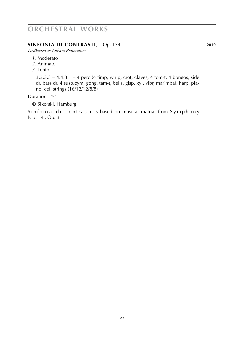## **SINFONIA DI CONTRASTI**, Op. 134 **2019**

*Dedicated to Łukasz Borovuiucs*

- *1*. Moderato
- *2*. Animato
- *3*. Lento

3.3.3.3 – 4.4.3.1 – 4 perc (4 timp, whip, crot, claves, 4 tom-t, 4 bongos, side dr, bass dr, 4 susp.cym, gong, tam-t, bells, glsp, xyl, vibr, marimba). harp. piano. cel. strings (16/12/12/8/8)

## Duration: 25'

© Sikorski, Hamburg

Sinfonia di contrasti is based on musical matrial from Symphony N o . 4 , Op. 31.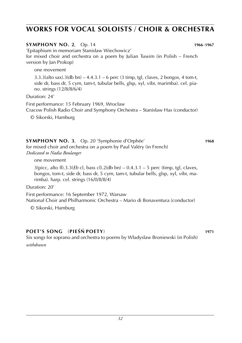### **SYMPHONY NO. 2**, Op. 14 **1966**-**1967**

'Epitaphium in memoriam Stanisław Wiechowicz*'* for mixed choir and orchestra on a poem by Julian Tuwim (in Polish – French version by Jan Prokop)

one movement

 $3.3.3$ (alto sax).3(db bn) –  $4.4.3.1$  – 6 perc (3 timp, tgl, claves, 2 bongos, 4 tom-t, side dr, bass dr, 5 cym, tam-t, tubular bells, glsp, xyl, vibr, marimba). cel. piano. strings (12/8/8/6/4)

### Duration: 24'

First performance: 15 February 1969, Wrocław Cracow Polish Radio Choir and Symphony Orchestra – Stanisław Has (conductor)

© Sikorski, Hamburg

## **SYMPHONY NO. 3**, Op. 20 'Symphonie d'Orphée' **1968**

for mixed choir and orchestra on a poem by Paul Valéry (in French) *Dedicated to Nadia Boulanger*

one movement

3(picc, alto fl).3.3(*Eb* cl, bass cl).2(db bn) – 0.4.3.1 – 5 perc (timp, tgl, claves, bongos, tom-t, side dr, bass dr, 5 cym, tam-t, tubular bells, glsp, xyl, vibr, marimba). harp. cel. strings (16/0/8/8/4)

Duration: 20'

First performance: 16 September 1972, Warsaw National Choir and Philharmonic Orchestra – Mario di Bonaventura (conductor)

© Sikorski, Hamburg

## **POET'S SONG** (**PIEs´n´ POETY**) **<sup>1971</sup>**

Six songs for soprano and orchestra to poems by Wl**/** adysl**/** aw Broniewski (in Polish)

*withdrawn*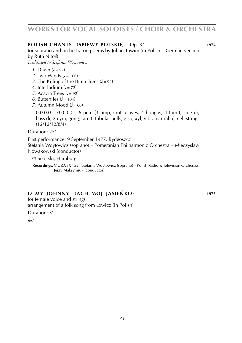## **POLISH CHANTS** (**s´ PIEWY POLSKIE**), Op. 34 **<sup>1974</sup>**

for soprano and orchestra on poems by Julian Tuwim (in Polish – German version by Ruth Niton<sup>®</sup>

*Dedicated to Stefania Woytowicz*

- *1*. Dawn  $(d = 52)$
- 2. Two Winds  $(l = 100)$
- *3*. The Killing of the Birch-Trees  $(l = 92)$
- 4. Interludium  $\left( \frac{1}{2} 72 \right)$
- *5*. Acacia Trees  $\mathcal{L} = 92$
- $6.$  Butterflies  $(d = 104)$
- *7.* Autumn Mood  $\mathcal{L} = 60$

 $0.0.0.0 - 0.0.0.0 - 6$  perc (3 timp, crot, claves, 4 bongos, 4 tom-t, side dr, bass dr, 2 cym, gong, tam-t, tubular bells, glsp, xyl, vibr, marimba). cel. strings (12/12/12/8/4)

Duration: 25'

First performance: 9 September 1977, Bydgoszcz Stefania Woytowicz (soprano) – Pomeranian Philharmonic Orchestra – Mieczysław Nowakowski (conductor)

© Sikorski, Hamburg

 **Recordings**: MUZA SX 1521 Stefania Woytowicz (soprano) – Polish Radio & Television Orchestra, Jerzy Maksymiuk (conductor)

## **O MY JOHNNY** (**ACH MÓJ JASIEn´ KO**) **<sup>1975</sup>**

for female voice and strings arrangement of a folk song from Lowicz (in Polish)

Duration: 3'

*lost*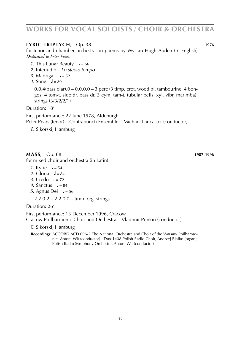## **LyRiC TRIPTYCH**, Op. 38 **1976**

for tenor and chamber orchestra on poems by Wystan Hugh Auden (in English) *Dedicated to Peter Pears*

- *1*. This Lunar Beauty  $\sqrt{ }$  = 66
- *2*. Interludio *Lo stesso tempo*
- 3. Madrigal  $\sqrt{2} = 52$
- 4. Song  $l = 80$

 $0.0.4$ (bass clar). $0 - 0.0.0$ . $0 - 3$  perc (3 timp, crot, wood bl, tambourine, 4 bongos, 4 tom-t, side dr, bass dr, 3 cym, tam-t, tubular bells, xyl, vibr, marimba). strings (3/3/2/2/1)

Duration: 18'

First performance: 22 June 1978, Aldeburgh

Peter Pears (tenor) – Contrapuncti Ensemble – Michael Lancaster (conductor)

© Sikorski, Hamburg

**MASS**, Op. 68 **1987**-**1996** for mixed choir and orchestra (in Latin)

- *1*. Kyrie  $J = 54$
- 2. Gloria  $a = 84$
- 3. Credo  $\neq$  = 72
- 4. Sanctus  $\frac{1}{6} = 84$
- *5*. Agnus Dei  $\sqrt{ }$  = 56

 $2.2.0.2 - 2.2.0.0 -$  timp. org. strings

Duration: 26'

First performance: 13 December 1996, Cracow Cracow Philharmonic Choir and Orchestra – Vladimir Ponkin (conductor)

© Sikorski, Hamburg

Recordings: ACCORD ACD 096-2 The National Orchestra and Choir of the Warsaw Philharmonic, Antoni Wit (conductor) **·** Dux 1408 Polish Radio Choir, Andrzej Bial**/** ko (organ), Polish Radio Symphony Orchestra, Antoni Wit (conductor)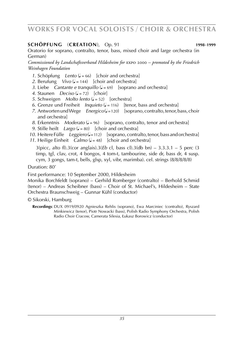### **schöpfung** (**creation**), Op. 91 **1998**-**1999**

Oratorio for soprano, contralto, tenor, bass, mixed choir and large orchestra (in German)

*Commissioned by Landschaftsverband Hildesheim for* expo 2000 *– promoted by the Friedrich Weinhagen Foundation*

- *1*. Schöpfung *Lento* ( $J = 66$ ) [choir and orchestra]
- 2. Berufung *Vivo*  $\left( \frac{1}{2} \right)$  [choir and orchestra]
- *3*. Liebe *Cantante e tranquillo*  $(l = 69)$  [soprano and orchestra]
- 4. Staunen *Deciso*  $(d = 72)$  [choir]
- *5*. Schweigen *Molto lento* ( $J = 52$ ) [orchestral]
- 6. Grenze und Freiheit *Inquieto* ( $J = 116$ ) [tenor, bass and orchestra]
- *7.* Antworten und Wege *Energico* ( $\frac{1}{2}$ =120) [soprano, contralto, tenor, bass, choir and orchestra]
- *8*. Erkenntnis *Moderato* ( $J = 96$ ) [soprano, contralto, tenor and orchestra]
- *9.* Stille heilt *Largo* ( $J = 80$ ) [choir and orchestra]
- *10.* Heitere Fülle *Leggiero* ( $=112$ ) [soprano, contralto, tenor, bass and orchestra]
- 11. Heilige Einheit *Calmo* ( $J = 48$ ) [choir and orchestra]

3(picc, alto fl).3(cor anglais).3(*Eb* cl, bass cl).3(db bn) – 3.3.3.1 – 5 perc (3 timp, tgl, clav, crot, 4 bongos, 4 tom-t, tambourine, side dr, bass dr, 4 susp. cym, 3 gongs, tam-t, bells, glsp, xyl, vibr, marimba). cel. strings (8/8/8/8/8)

### Duration: 80'

First performance: 10 September 2000, Hildesheim

Monika Borchfeldt (soprano) – Gerhild Romberger (contralto) – Berhold Schmid (tenor) – Andreas Scheibner (bass) – Choir of St. Michael's, Hildesheim – State Orchestra Braunschweig – Gunnar Kühl (conductor)

- © Sikorski, Hamburg
	- Recordings: DUX 0919/0920 Agnieszka Rehlis (soprano), Ewa Marciniec (contralto), Ryszard Minkiewicz (tenor), Piotr Nowacki (bass), Polish Radio Symphony Orchestra, Polish Radio Choir Cracow, Camerata Silesia, **/** Lukasz Borowicz (conductor)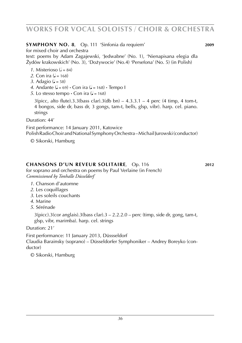## **SYMPHONY NO. 8**, Op. 111 'Sinfonia da requiem' **2009**

for mixed choir and orchestra

text: poems by Adam Zagajewski, 'Jedwabne' (No. 1), 'Nienapisana elegia dla Z · ydów krakowskich' (No. 3), 'Doz. ywocie' (No.4) 'Persefona' (No. 5) (in Polish)

- *1*. Misterioso  $\mathcal{L} = 84$ )
- *2*. Con ira  $\mu = 168$
- 3. Adagio ( $J = 58$ )
- 4. Andante  $\left( \right) = 69$  **·** Con ira  $\left( \right) = 168$  **·** Tempo I
- *5*. Lo stesso tempo  $\cdot$  Con ira ( $\sqrt{ }$  = 168)

 $3$ (picc, alto flute).3.3(bass clar).3(db bn) – 4.3.3.1 – 4 perc (4 timp, 4 tom-t, 4 bongos, side dr, bass dr, 3 gongs, tam-t, bells, glsp, vibr). harp. cel. piano. strings

Duration: 44'

First performance: 14 January 2011, Katowice

Polish Radio Choir and National Symphony Orchestra – Michail Jurowski (conductor)

© Sikorski, Hamburg

## **chansons d'un reveur solitaire**, Op. 116 **2012**

for soprano and orchestra on poems by Paul Verlaine (in French) *Commissioned by Tonhalle Düsseldorf*

- *1*. Chanson d'automne
- *2*. Les coquillages
- *3*. Les soleils couchants
- *4*. Marine
- *5*. Sérénade

 $3(pice).3(cor \text{ anglais}).3(bass \text{ clar}).3 - 2.2.2.0 - \text{perc (timp, side dr, gong, tam-t, }$ glsp, vibr, marimba). harp. cel. strings

Duration: 21'

First performance: 11 January 2013, Düssseldorf Claudia Barainsky (soprano) – Düsseldorfer Symphoniker – Andrey Boreyko (conductor)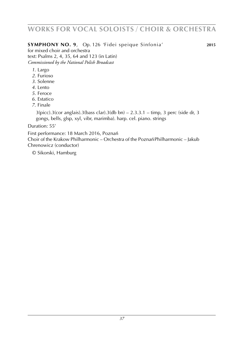# **works for vocal soloists** / **choir & orchestra**

### **symphony no. 9**, Op. 126 'Fidei speique Sinfonia' **2015**

for mixed choir and orchestra text: Psalms 2, 4, 35, 64 and 123 (in Latin) *Commissioned by the National Polish Broadcast*

- *1*. Largo
- *2*. Furioso
- *3*. Solenne
- *4*. Lento
- *5*. Feroce
- *6*. Estatico
- *7*. Finale

 $3(pice).3(cor \text{ anglais}).3(bass \text{ clar}).3(db \text{ bn}) - 2.3.3.1 - \text{timp}, 3 \text{ perc}$  (side dr, 3) gongs, bells, glsp, xyl, vibr, marimba). harp. cel. piano. strings

Duration: 55'

First performance: 18 March 2016, Poznań

Choir of the Krakow Philharmonic – Orchestra of the Poznań Philharmonic – Jakub Chrenowicz (conductor)

© Sikorski, Hamburg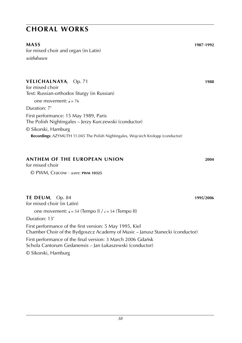# **choral works**

for mixed choir and organ (in Latin) *withdrawn*

### **vELICHALNAyA**, Op. 71 **1988**

for mixed choir Text: Russian-orthodox liturgy (in Russian) one movement:  $\frac{1}{2}$  = 76 Duration: 7' First performance: 15 May 1989, Paris The Polish Nightingales – Jerzy Kurczewski (conductor) © Sikorski, Hamburg  **Recordings**: AZYMUTH 11.045 The Polish Nightingales, Wojciech Krolopp (conductor)

### **anthem of the european union 2004**

for mixed choir © PWM, Cracow · *score:* **pwm 10325**

### **TE DEUM**, Op. 84 **1995**/**2006**

for mixed choir (in Latin)

one movement:  $J = 54$  (Tempo I)  $/J = 54$  (Tempo II)

Duration: 13'

First performance of the first version: 5 May 1995, Kiel Chamber Choir of the Bydgoszcz Academy of Music – Janusz Stanecki (conductor) First performance of the final version: 3 March 2006 Gdańsk Schola Cantorum Gedanensis – Jan L**/** ukaszewski (conductor) © Sikorski, Hamburg

**MASS 1987**-**1992**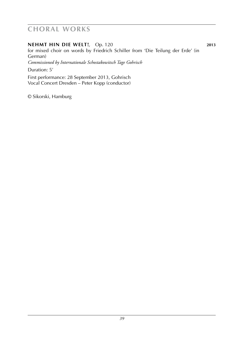# **choral works**

#### **NEHMT HIN DIE WELT!**, Op. 120 **2013**

for mixed choir on words by Friedrich Schiller from 'Die Teilung der Erde' (in German)

*Commissioned by Internationale Schostakowitsch Tage Gohrisch*

Duration: 5'

First performance: 28 September 2013, Gohrisch Vocal Concert Dresden – Peter Kopp (conductor)

© Sikorski, Hamburg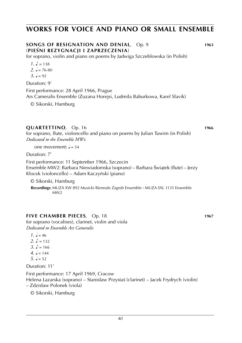# **works for voice and piano or small ensemble**

#### **SONGS OF RESIGNATION AND DENIAL**, Op. 9 **1963** (**PIEs´NI REZYGNACJI I ZAPRZECZENIA**)

for soprano, violin and piano on poems by Jadwiga Szczeblowska (in Polish)

- $1. \ \ \ \ \ \ \ \ \ \ = 138$
- $2. \, \text{J} = 76 80$
- $3 \text{ J} = 92$

#### Duration: 9'

First performance: 28 April 1966, Prague Ars Cameralis Ensemble (Zuzana Horejsi, Ludmila Baburkowa, Karel Slavik)

© Sikorski, Hamburg

#### **QUARTETTINO**, Op. 16 **1966 1966 1966**

for soprano, flute, violoncello and piano on poems by Julian Tuwim (in Polish) *Dedicated to the Ensemble MW*2

one movement:  $J = 54$ 

Duration: 7'

First performance: 11 September 1966, Szczecin Ensemble MW2: Barbara Niewiadomska (soprano) – Barbara Świątek (flute) – Jerzy<br>Klocek (violoncello) – Adam Kaczyński (piano) Klocek (violoncello) – Adam Kaczyński (piano)

© Sikorski, Hamburg

 **Recordings**: MUZA XW 892 Musicki Biennale Zagreb Ensemble **·** MUZA SXL 1135 Ensemble  $MAVA$ 

#### **five CHAMBER PIECES**, Op. 18 **1967**

for soprano (vocalises), clarinet, violin and viola *Dedicated to Ensemble Ars Cameralis*

 $1 \quad -46$ 2.  $\sqrt{ } = 132$ 3.  $\sqrt{ } = 166$  $4 = 144$  $5. \, \text{J} = 52$ 

Duration: 11'

First performance: 17 April 1969, Cracow

Helena Łazarska (soprano) – Stanisław Przystaś (clarinet) – Jacek Frydrych (violin) – Zdzisław Polonek (viola)

© Sikorski, Hamburg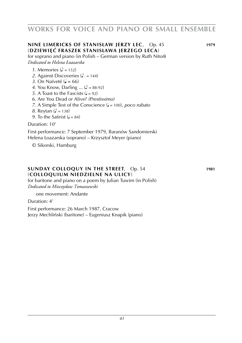# **works for voice and piano or small ensemble**

### **nine LIMERICKS OF STANISL/ AW JERZY LEC**, Op. 45 **1979** (**dziewie` c´ FRASZEK STANISL/ AWA JERZEGO LECA**)

### for soprano and piano (in Polish – German version by Ruth Niton)

*Dedicated to Helena Łoazarska*

- *1*. Memories  $(\lambda = 152)$
- 2. Against Discoveries  $(2)$ . = 144)
- *3*. On Naïveté ( $\sqrt{=}$  = 66)
- *4*. You Know, Darling ... ( $\triangle$  = 88-92)
- *5*. A Toast to the Fascists  $(d = 92)$
- *6*. Are You Dead or Alive? *(Prestissimo)*
- *7*. A Simple Test of the Conscience ( $\sqrt{ }$  = 100), *poco rubato*
- *8*. Reytan ( $\sqrt{ } = 138$ )
- *9*. To the Satirist  $\mathcal{L} = 84$ )

#### Duration: 10'

First performance: 7 September 1979, Baranów Sandomierski Helena L**/** oazarska (soprano) – Krzysztof Meyer (piano)

© Sikorski, Hamburg

#### **SUNDAY COLLOQUY IN THE STREET**, Op. 54 **1981** (**COLLOQUIUM NIEDZIELNE NA ULICY**)

for baritone and piano on a poem by Julian Tuwim (in Polish) *Dedicated to Mieczysław Tomaszewski*

one movement: Andante

Duration: 4'

First performance: 26 March 1987, Cracow Jerzy Mechliński (baritone) – Eugeniusz Knapik (piano)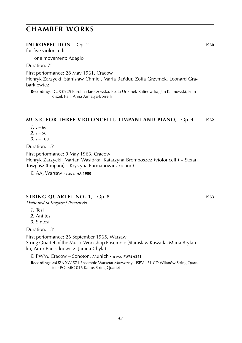#### **INTROSPECTION.** Op. 2 **1960**

for five violoncelli

one movement: Adagio

Duration: 7'

First performance: 28 May 1961, Cracow

Henryk Zarzycki, Stanisław Chmiel, Maria Bańdur, Zofia Grzymek, Leonard Grabarkiewicz

 **Recordings**: DUX 0925 Karolina Jaroszewska, Beata Urbanek-Kalinowska, Jan Kalinowski, Franciszek Pall, Anna Armatya-Borrelli

#### **MUSIC FOR three VIOLONCELLi, TIMPANI AND PIANO**, Op. 4 **1962**

- $1. \, \frac{1}{2} = 66$
- $2. \, \text{J} = 56$
- $3 \t- 100$

Duration: 15'

First performance: 9 May 1963, Cracow Henryk Zarzycki, Marian Wasiółka, Katarzyna Bromboszcz (violoncelli) – Stefan Towpasz (timpani) – Krystyna Furmanowicz (piano)

© AA, Warsaw · *score:* **aa 1980**

### **STRING QUARTET NO. 1**, Op. 8 **1963**

*Dedicated to Krzysztof Penderecki*

- *1*. Tesi
- *2*. Antitesi
- *3*. Sintesi

Duration: 13'

First performance: 26 September 1965, Warsaw String Quartet of the Music Workshop Ensemble (Stanislaw Kawalla*,* Maria Brylanka, Artur Paciorkiewicz, Janina Chyła)

© PWM, Cracow – Sonoton, Munich **·** *score:* **pwm 6341**

 **Recordings**: MUZA XW 571 Ensemble Warsztat Muzyczny **·** ISPV 151 CD Wilanów String Quartet **·** POLMIC 016 Kairos String Quartet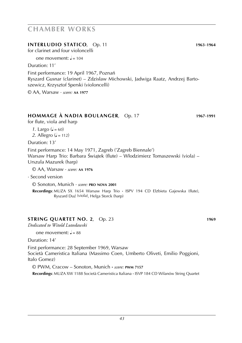#### **INTERLUDIO STATICO**, Op. 11 **1963-1964**

for clarinet and four violoncelli

one movement:  $l = 104$ 

Duration: 11'

First performance: 19 April 1967, Poznań Ryszard Gusnar (clarinet) – Zdzisław Michowski, Jadwiga Raatz, Andrzej Bartoszewicz, Krzysztof Sperski (violoncelli)

© AA, Warsaw · *score:* **aa 1977**

### **HOMMAGE À NADIA BOULANGER**, Op. 17 **1967**-**1991**

for flute, viola and harp

*1*. Largo ( $J = 60$ )

2. Allegro ( $= 112$ )

Duration: 13'

First performance: 14 May 1971, Zagreb ('Zagreb Biennale') Warsaw Harp Trio: Barbara Świątek (flute) – Włodzimierz Tomaszewski (viola) –<br>Urszula Mazurek (barp) Urszula Mazurek (harp)

© AA, Warsaw · *score:* **aa 1976**

· Second version

© Sonoton, Munich · *score:* **pro nova 2001**

Recordings: MUZA SX 1654 Warsaw Harp Trio · ISPV 194 CD Elzbieta Gajewska (flute), Ryszard Duz´ (viola), Helga Storck (harp)

### **STRING QUARTET NO. 2**, Op. 23 **1969**

*Dedicated to Witold Lutosławski*

one movement:  $\frac{1}{2} = 88$ 

Duration: 14'

First performance: 28 September 1969, Warsaw Società Cameristica Italiana (Massimo Coen, Umberto Oliveti, Emilio Poggioni, Italo Gomez)

© PWM, Cracow – Sonoton, Munich **·** *score:* **pwm 7157 Recordings**: MUZA XW 1188 Società Cameristica Italiana **·** ISVP 184 CD Wilanów String Quartet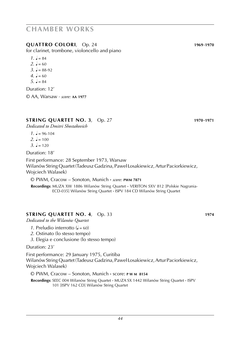### **QUATTRO COLORI**, Op. 24 **1969**-**1970**

for clarinet, trombone, violoncello and piano

- $1. \, \mathsf{J} = 84$
- $2. \, \text{J} = 60$
- $3. \, \, \sqrt{2} = 88.92$
- $4 \text{ J} = 60$
- $5. J = 84$

Duration: 12'

© AA, Warsaw · *score:* **aa 1977**

### **STRING QUARTET NO. 3**, Op. 27 **1970**-**1971**

*Dedicated to Dmitri Shostakovich*

 $1 \quad 1 = 96-104$  $2. \, \text{J} = 100$  $3. \, \text{J} = 120$ 

Duration: 18'

First performance: 28 September 1973, Warsaw Wilanów String Quartet (Tadeusz Gadzina, Pawel**/** L**/** osakiewicz, Artur Paciorkiewicz, Wojciech Walasek)

© PWM, Cracow – Sonoton, Munich **·** *score:* **pwm 7871**

 **Recordings**: MUZA XW 1886 Wilanów String Quartet **·** VERITON SXV 812 [Polskie Nagrania- ECD-035] Wilanów String Quartet **·** ISPV 184 CD Wilanów String Quartet

### **STRING QUARTET NO. 4**, Op. 33 **1974**

*Dedicated to the Wilanów Quartet*

- *1*. Preludio interrotto  $(l = 60)$
- *2*. Ostinato (lo stesso tempo)
- *3*. Elegia e conclusione (lo stesso tempo)

#### Duration: 23'

First performance: 29 January 1975, Curitiba Wilanów String Quartet (Tadeusz Gadzina, Pawel**/** L**/** osakiewicz, Artur Paciorkiewicz, Wojciech Walasek)

© PWM, Cracow – Sonoton, Munich **·** score: **p w m 8154**

 **Recordings**: SEEC 004 Wilanów String Quartet **·** MUZA SX 1442 Wilanów String Quartet **·** ISPV 101 [ISPV 162 CD] Wilanów String Quartet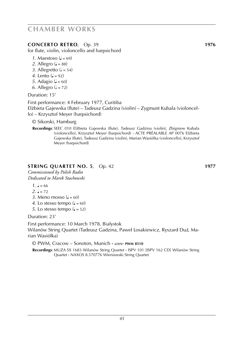### **CONCERTO RETRO**, Op. 39 **1976**

for flute, violin, violoncello and harpsichord

- 1. Maestoso  $\mathcal{L} = 69$
- 2. Allegro ( $= 88$ )
- 3. Allegretto  $\mathcal{L} = 54$ )
- *4*. Lento  $(a = 92)$
- *5*. Adagio ( $J = 60$ )
- *6*. Allegro ( $= 72$ )

Duration: 15'

First performance: 4 February 1977, Curitiba Elz. bieta Gajewska (flute) – Tadeusz Gadzina (violin) – Zygmunt Kubala (violoncello) – Krzysztof Meyer (harpsichord)

© Sikorski, Hamburg

Recordings: SEEC 010 Elżbieta Gajewska (flute), Tadeusz Gadzina (violin), Zbigniew Kubala (violoncello), Krzysztof Meyer (harpsichord) **·** ACTE PRÉALABLE AP 0076 Elz. bieta Gajewska (flute), Tadeusz Gadzina (violin), Marian Wasiól**/** ka (violoncello), Krzysztof Meyer (harpsichord)

### **STRING QUARTET NO. 5**, Op. 42 **1977**

*Commissioned by Polish Radio Dedicated to Marek Stachowski*

- $1 \quad 1 = 66$
- $2 \t= 72$
- 3. Meno mosso  $\mathcal{L} = 60$
- 4. Lo stesso tempo  $(J = 60)$
- *5*. Lo stesso tempo ( $J = 52$ )

Duration: 23'

First performance: 10 March 1978, Białystok Wilanów String Quartet (Tadeusz Gadzina, Paweł Łosakiewicz, Ryszard Duź, Marian Wasiółka)

© PWM, Cracow – Sonoton, Munich **·** *score:* **pwm 8510**

 **Recordings**: MUZA SX 1683 Wilanów String Quartet **·** ISPV 101 [ISPV 162 CD] Wilanów String Quartet **·** NAXOS 8.570776 Wieniawski String Quartet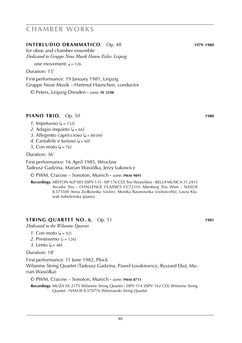#### **INTERLUDIO DRAMMATICO**, Op. 48 **1979**-**1980**

for oboe and chamber ensemble *Dedicated to Gruppe Neue Musik Hanns Eisler, Leipzig*

one movement:  $J = 126$ 

Duration: 15'

First performance: 19 January 1981, Leipzig Gruppe Neue Musik – Hartmut Haenchen, conductor

© Peters, Leipzig-Dresden **·** *score:* **pe 5598**

### **PIANO TRIO**, Op. 50 **1980 1980**

- *1*. Impetuoso ( $= 132$ )
- 2. Adagio inquieto  $(J = 66)$
- *3*. Allegretto capriccioso ( $= 80-84$ )
- 4. Cantabile e furioso  $(4 60)$
- *5*. Con moto  $(d = 76)$

Duration: 36'

First performance: 16 April 1985, Wrocław Tadeusz Gadzina, Marian Wasiól**/** ka, Jerzy L**/** ukowicz

#### © PWM, Cracow – Sonoton, Munich **·** *score:* **pwm 9891**

 **Recordings**: ARSTON ALP 003 [ISPV 135 **·** ISP 176 CD] Trio Wawelskie **·** BELLA MUSICA 31.2415 Arcadia Trio **·** CHALLENGE CLASSICS CC72310 Altenberg Trio Wien **·** NAXOS 8.573500 Anna Ziołkowska (violin), Monika Baranowska (violoncello), Laura Kluwak-Sobolewska (piano)

### **STRING QUARTET NO. 6**, Op. 51 **1981**

*Dedicated to the Wilanów Quartet*

- *1*. Con moto  $\mathbf{Q} = 92$
- 2. Prestissimo  $\left( \frac{1}{2} \right)$  = 126)
- 3. Lento  $(2 48)$

Duration: 18'

First performance: 11 June 1982, Plock Wilanów String Quartet (Tadeusz Gadzina, Paweł Łosakiewicz, Ryszard Duź, Marian Wasiółka)

© PWM, Cracow – Sonoton, Munich **·** *score:* **pwm 8711**

 **Recordings**: MUZA SX 2175 Wilanów String Quartet **·** ISPV 114 [ISPV 162 CD] Wilanów String Quartet **·** NAXOS 8.570776 Wieniawski String Quartet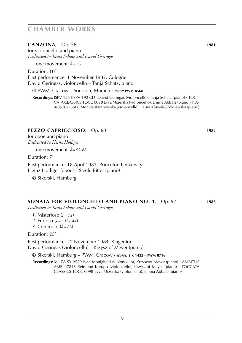**CANZONA**, Op. 56 **1981**

for violoncello and piano *Dedicated to Tanja Schatz and David Geringas*

one movement:  $J = 76$ 

Duration: 10' First performance: 1 November 1982, Cologne David Geringas, violoncello – Tanja Schatz, piano

© PWM, Cracow – Sonoton, Munich **·** *score:* **pwm 8568**

 **Recordings**: ISPV 155 [ISPV 192 CD] David Geringas (violoncello), Tanja Schatz (piano) **·** TOC-CATACLASSICS TOCC 0098 Evva Mizerska (violoncello), Emma Abbate (piano) **·** NA-XOS 8.573500 Monika Baranowska (violoncello), Laura Kluwak-Sobolewska (piano)

#### **PEZZO CAPRICCIOSO**, Op. 60 **1982**

for oboe and piano *Dedicated to Heinz Holliger*

one movement:  $= 92-88$ 

Duration: 7'

First performance: 18 April 1983, Princeton University Heinz Holliger (oboe) – Steele Ritter (piano)

© Sikorski, Hamburg

#### **SONATA for violoncello and piano no. 1**, Op. 62 **1983**

*Dedicated to Tanja Schatz and David Geringas*

- *1*. Misterioso  $(d = 72)$
- *2*. Furioso ( $\sqrt{ } = 132 144$ )
- 3. Con moto  $\mathcal{L} = 88$

Duration: 25'

First performance: 22 November 1984, Klagenfurt

David Geringas (violoncello) – Krzysztof Meyer (piano)

© Sikorski, Hamburg – PWM, Cracow **·** *scores:* **sik 1432 – pwm 8716**

 **Recordings**: MUZA SX 2579 Ivan Monighetti (violoncello), Krzysztof Meyer (piano) **·** AMBITUS AMB 97848 Reimund Korupp (violoncello), Krzysztof Meyer (piano) **·** TOCCATA CLASSICS TOCC 0098 Evva Mizerska (violoncello), Emma Abbate (piano)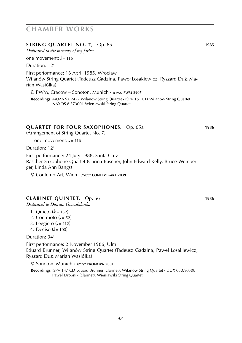### **STRING QUARTET NO. 7**, Op. 65 **1985**

*Dedicated to the memory of my father*

one movement:  $\frac{1}{2}$  = 116

Duration: 12'

First performance: 16 April 1985, Wrocław Wilanów String Quartet (Tadeusz Gadzina, Paweł Łosakiewicz, Ryszard Duź, Marian Wasiółka)

© PWM, Cracow – Sonoton, Munich · *score:* **pwm 8907**

 **Recordings**: MUZA SX 2427 Wilanów String Quartet **·** ISPV 151 CD Wilanów String Quartet **·** NAXOS 8.573001 Wieniawski String Quartet

### **QUARTET for four saxophones**, Op. 65a **1986**

(Arrangement of String Quartet No. 7)

one movement:  $J = 116$ 

Duration: 12'

First performance: 24 July 1988, Santa Cruz Raschèr Saxophone Quartet (Carina Raschèr, John Edward Kelly, Bruce Weinberger, Linda Ann Bangs)

© Contemp-Art, Wien **·** *score:* **contemp-art 2039**

### **CLARINET QUINTET**, Op. 66 **1986**

*Dedicated to Danuta Gwizdalanka*

- 1. Quieto ( $\triangle$  = 132)
- 2. Con moto  $\left( \right)$  = 52)
- 3. Leggiero  $(J = 112)$
- 4. Deciso ( $= 100$ )

Duration: 34'

First performance: 2 November 1986, Ulm Eduard Brunner, Wilanów String Quartet (Tadeusz Gadzina, Pawel**/** L**/** osakiewicz, Ryszard Duź, Marian Wasiółka)

© Sonoton, Munich **·** *score:* **pronova 2001**

 **Recordings**: ISPV 147 CD Eduard Brunner (clarinet), Wilanów String Quartet **·** DUX 0507/0508 Paweł Drobnik (clarinet), Wieniawski String Quartet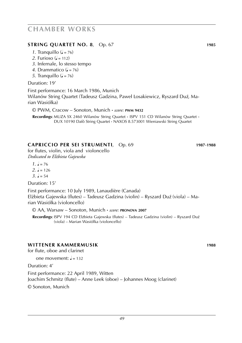### **STRING QUARTET NO. 8**, Op. 67 **1985**

- *1*. Tranquillo  $\left( \right) = 76$
- 2. Furioso ( $= 112$ )
- *3*. Infernale, lo stesso tempo
- 4. Drammatico ( $J = 76$ )
- *5*. Tranquillo  $(l = 76)$

#### Duration: 19'

First performance: 16 March 1986, Munich Wilanów String Quartet (Tadeusz Gadzina, Paweł Łosakiewicz, Ryszard Duź, Marian Wasiółka)

© PWM, Cracow – Sonoton, Munich **·** *score:* **pwm 9432**

 **Recordings**: MUZA SX 2460 Wilanów String Quartet **·** ISPV 151 CD Wilanów String Quartet **·** DUX 10190 Dafô String Quartet **·** NAXOS 8.573001 Wieniawski String Quartet

### **CAPRICCIO per sei strumenti**, Op. 69 **1987**-**1988**

for flutes, violin, viola and violoncello *Dedicated to Elżbieta Gajewska*

 $1. \, \text{J} = 76$  $2. \, \text{J} = 126$ 

 $3. \, \text{J} = 54$ 

Duration: 15'

First performance: 10 July 1989, Lanaudière (Canada) Elz. bieta Gajewska (flutes) – Tadeusz Gadzina (violin) – Ryszard Duz´ (viola) – Marian Wasiól**/** ka (violoncello)

© AA, Warsaw – Sonoton, Munich **·** *score:* **pronova 2007**

Recordings: ISPV 194 CD Elzbieta Gajewska (flutes) – Tadeusz Gadzina (violin) – Ryszard Duź (viola) – Marian Wasiól**/** ka (violoncello)

#### **WITTENER KAMMERMUSIK 1988**

for flute, oboe and clarinet

one movement:  $J = 132$ 

Duration: 4'

First performance: 22 April 1989, Witten Joachim Schmitz (flute) – Anne Leek (oboe) – Johannes Moog (clarinet)

© Sonoton, Munich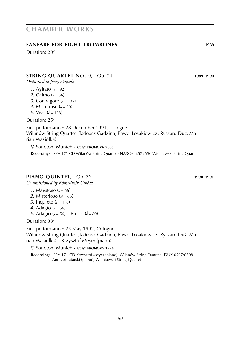### *1*. Agitato  $\mathbf{a} = 92$

2. Calmo  $(l = 66)$ 

*Dedicated to Jerzy Stajuda*

- 3. Con vigore  $(J = 132)$
- 4. Misterioso ( $= 80$ )
- *5*. Vivo  $(l = 138)$

Duration: 25'

First performance: 28 December 1991, Cologne Wilanów String Quartet (Tadeusz Gadzina, Paweł Łosakiewicz, Ryszard Duź, Marian Wasiółka)

**STRING QUARTET NO. 9**, Op. 74 **1989**-**1990**

© Sonoton, Munich **·** *score:* **pronova 2005 Recordings**: ISPV 171 CD Wilanów String Quartet **·** NAXOS 8.572656 Wieniawski String Quartet

#### **PIANO QUINTET**, Op. 76 **1990**-**1991**

*Commissioned by KölnMusik GmbH*

- 1. Maestoso ( $d = 66$ )
- 2. Misterioso ( $\phi = 66$ )
- *3*. Inquieto ( $J = 116$ )
- *4*. Adagio ( $J = 56$ )
- *5*. Adagio ( $J = 56$ ) Presto ( $J = 80$ )

Duration: 38'

First performance: 25 May 1992, Cologne

Wilanów String Quartet (Tadeusz Gadzina, Paweł Łosakiewicz, Ryszard Duź, Marian Wasiól**/** ka) – Krzysztof Meyer (piano)

© Sonoton, Munich **·** *score:* **pronova 1996**

 **Recordings**: ISPV 171 CD Krzysztof Meyer (piano), Wilanów String Quartet **·** DUX 0507/0508 Andrzej Tatarski (piano), Wieniawski String Quartet

# **chamber works**

### **FANFARE for eight trombones 1989**

Duration: 20"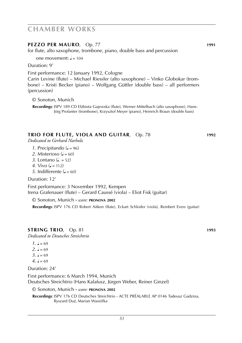#### **PEZZO PER MAURO**, Op. 77 **1991**

for flute, alto saxophone, trombone, piano, double bass and percussion

one movement:  $\frac{1}{2} = 104$ 

Duration: 9'

First performance: 12 January 1992, Cologne

Carin Levine (flute) – Michael Riessler (alto saxophone) – Vinko Globokar (trombone) – Kristi Becker (piano) – Wolfgang Güttler (double bass) – all performers (percussion)

© Sonoton, Munich

Recordings: ISPV 189 CD Elzbieta Gajewska (flute), Werner Mittelbach (alto saxophone), Hans-Jörg Profanter (trombone), Krzysztof Meyer (piano), Heinrich Braun (double bass)

#### **TRIO for flute, viola and guitar**, Op. 78 **1992**

*Dedicated to Gerhard Narholz*

- *1*. Precipitando ( $= 96$ )
- 2. Misterioso ( $d = 60$ )
- *3*. Lontano (**J**. = 52)
- *4*. Vivo  $\mathbf{Q} = 112$
- *5*. Indifferente  $(l = 60)$

Duration: 12'

First performance: 3 November 1992, Kempen Irena Grafenauer (flute) – Gerard Caussé (viola) – Eliot Fisk (guitar)

© Sonoton, Munich **·** *score:* **pronova 2002**

 **Recordings**: ISPV 176 CD Robert Aitken (flute), Eckart Schloifer (viola), Reinbert Evers (guitar)

#### **STRING TRIO**, Op. 81 **1993**

*Dedicated to Deutsches Streichtrio*

- $1. \, \text{J} = 69$  $2. \, \mathsf{d} = 69$
- $3. \, \text{J} = 69$
- $4 \text{ J} = 69$

Duration: 24'

First performance: 6 March 1994, Munich Deutsches Streichtrio (Hans Kalafusz, Jürgen Weber, Reiner Ginzel)

© Sonoton, Munich **·** *score:* **pronova 2002**

 **Recordings**: ISPV 176 CD Deutsches Streichtrio **·** ACTE PRÉALABLE AP 0146 Tadeusz Gadzina, Ryszard Duz´, Marian Wasiól**/** ka

*51*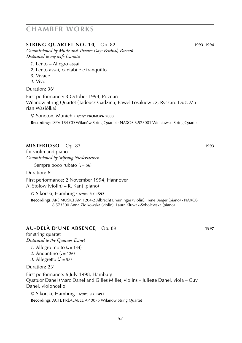#### **STRING QUARTET NO. 10**, Op. 82 **1993**-**1994**

*Commissioned by Music and Theatre Days Festival, Poznań Dedicated to my wife Danuta*

- *1*. Lento Allegro assai
- *2*. Lento assai, cantabile e tranquillo
- *3*. Vivace
- *4*. Vivo

Duration: 36'

First performance: 3 October 1994, Poznań Wilanów String Quartet (Tadeusz Gadzina, Paweł Łosakiewicz, Ryszard Duź, Marian Wasiółka)

© Sonoton, Munich **·** *score:* **pronova 2003**

 **Recordings**: ISPV 184 CD Wilanów String Quartet **·** NAXOS 8.573001 Wieniawski String Quartet

#### **MISTERIOSO**, Op. 83 **1993**

for violin and piano *Commissioned by Stiftung Niedersachsen*

Sempre poco rubato  $(J = 56)$ 

Duration: 6'

First performance: 2 November 1994, Hannover A. Stolow (violin) – R. Kanj (piano)

© Sikorski, Hamburg **·** *score:* **sik 1592**

 **Recordings**: ARS MUSICI AM 1204-2 Albrecht Breuninger (violin), Irene Berger (piano) **·** NAXOS 8.573500 Anna Ziołkowska (violin), Laura Kluwak-Sobolewska (piano)

### **au-delà d'une absence**, Op. 89 **1997**

for string quartet *Dedicated to the Quatuor Danel*

- 1. Allegro molto  $(J = 144)$
- 2. Andantino  $\mathcal{L} = 126$
- *3*. Allegretto ( $\sqrt{ }$  = 58)

Duration: 23'

First performance: 6 July 1998, Hamburg Quatuor Danel (Marc Danel and Gilles Millet, violins – Juliette Danel, viola – Guy Danel, violoncello)

© Sikorski, Hamburg **·** *score:* **sik 1491 Recordings**: ACTE PRÉALABLE AP 0076 Wilanów String Quartet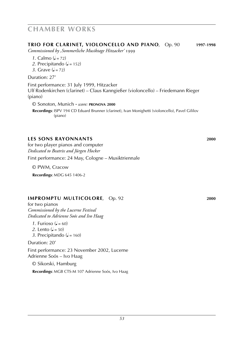#### **trio for clarinet, violoncello and piano**, Op. 90 **1997**-**1998**

*Commissioned by ,Sommerliche Musiktage Hitzacker'* 1999

- *1*. Calmo  $(l = 72)$
- 2. Precipitando ( $J = 152$ )
- 3. Grave  $(l = 72)$

Duration: 27'

First performance: 31 July 1999, Hitzacker Ulf Rodenkirchen (clarinet) – Claus Kanngießer (violoncello) – Friedemann Rieger (piano)

© Sonoton, Munich **·** *score:* **pronova 2000**

 **Recordings**: ISPV 194 CD Eduard Brunner (clarinet), Ivan Monighetti (violoncello), Pavel Gililov (piano)

#### **les sons rayonnants 2000**

for two player pianos and computer *Dedicated to Beatrix and Jürgen Hocker*

First performance: 24 May, Cologne – Musiktriennale

© PWM, Cracow

 **Recordings**: MDG 645 1406-2

#### **impromptu multicolore**, Op. 92 **2000**

for two pianos *Commissioned by the Lucerne Festival Dedicated to Adrienne Soós and Ivo Haag*

- *1*. Furioso ( $= 60$ )
- *2*. Lento  $(J = 50)$
- 3. Precipitando ( $J = 160$ )

Duration: 20'

First performance: 23 November 2002, Lucerne Adrienne Soós – Ivo Haag

© Sikorski, Hamburg

 **Recordings**: MGB CTS-M 107 Adrienne Soós, Ivo Haag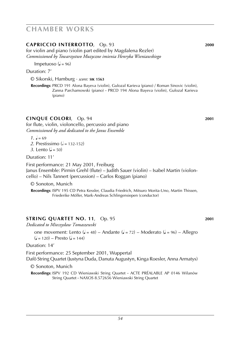### **capriccio interrotto**, Op. 93 **2000**

for violin and piano (violin part edited by Magdalena Rezler) *Commissioned by Towarzystwo Muzyczne imienia Henryka Wieniawskiego*

Impetuoso  $(J = 96)$ 

Duration: 7'

© Sikorski, Hamburg · *score:* **sik 1563**

 **Recordings**: PRCD 191 Alona Bayeva (violin), Gulozal Karieva (piano) / Roman Sinovic (violin), Zanna Parchamowski (piano) **·** PRCD 194 Alona Bayeva (violin), Gulozal Karieva (piano)

#### **cinque colori**, Op. 94 **2001**

for flute, violin, violoncello, percussio and piano *Commissioned by and dedicated to the Janus Ensemble*

 $1. \, \mathsf{J} = 69$ 

- *2*. Prestissimo ( $= 132-152$ )
- *3*. Lento  $(d = 50)$

Duration: 11'

First performance: 21 May 2001, Freiburg Janus Ensemble: Pirmin Grehl (flute) – Judith Sauer (violin) – Isabel Martin (violoncello) – Nils Tannert (percussion) – Carlos Roggan (piano)

© Sonoton, Munich

 **Recordings**: ISPV 195 CD Petra Kessler, Claudia Friedrich, Mitsuro Morita-Uno, Martin Thissen, Friederike Möller, Mark-Andreas Schlingensiepen (conductor)

#### **string qUARTET NO. 11**, Op. 95 **2001**

*Dedicated to Mieczysław Tomaszewski*

one movement: Lento ( $J = 48$ ) – Andante ( $J = 72$ ) – Moderato ( $J = 96$ ) – Allegro  $(J = 120) -$ Presto  $(J = 144)$ 

Duration: 14'

First performance: 25 September 2001, Wuppertal Dafô String Quartet (Justyna Duda, Danuta Augustyn, Kinga Roesler, Anna Armatys)

© Sonoton, Munich

 **Recordings**: ISPV 192 CD Wieniawski String Quartet **·** ACTE PRÉALABLE AP 0146 Wilanów String Quartet **·** NAXOS 8.572656 Wieniawski String Quartet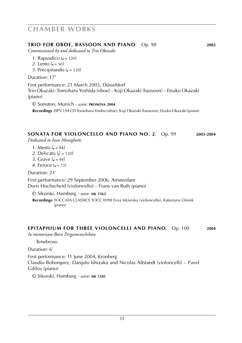#### **trio for oboe, bassoon and piano**, Op. 98 **2002**

*Commissioned by and dedicated to Trio Okazaki*

- 1. Rapsodico ( $d = 120$ )
- *2*. Lento  $(d = 50)$
- 3. Precipitando  $(J = 120)$

Duration: 17'

First performance: 21 March 2003, Düsseldorf Trio Okazaki: Tomoharu Yoshida (oboe) – Koji Okazaki (bassoon) – Etsuko Okazaki (piano)

© Sonoton, Munich · *score:* **pronova 2004**

 **Recordings**: ISPV 194 CD Tomohara Yosiba (oboe), Koji Okazaki (bassoon), Etsuko Okazaki (piano)

#### **sonata for violoncello and piano no. 2**, Op. 99 **2003**-**2004**

*Dedicated to Ivan Monighetti*

- *1*. Mesto  $(J = 84)$
- 2. Delicato ( $\triangle$  = 120)
- 3. Grave  $(1 44)$
- *4*. Feroce  $(J = 72)$

Duration: 23'

First performance: 29 September 2006, Amsterdam Doris Hochscheid (violoncello) – Frans van Ruth (piano)

© Sikorski, Hamburg · *score:* **sik 1562**

 **Recordings**: TOCCATA CLASSICS TOCC 0098 Evva Mizerska (violoncello), Katarzyna Glensk (piano)

#### **epitaphium for three violoncelli and piano**, Op. 100 **2004**

*In memoriam Boris Pergamenschikow*

Tenebroso

Duration: 6'

First performance: 11 June 2004, Kronberg Claudio Bohorquez, Danjulo Ishizaka and Nicolas Altstaedt (violoncelli) – Pavel Gililov (piano)

© Sikorski, Hamburg · *score:* **sik 1581**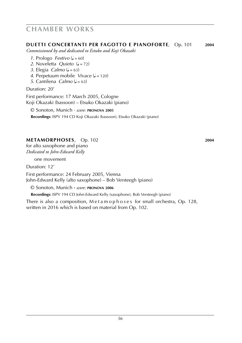#### **duetti concertanti per fagotto e pianoforte**, Op. 101 **2004**

*Commissioned by and dedicated to Estuko and Koji Okazaki*

- *1*. Prologo *Festivo* ( $J = 60$ )
- *2*. Noveletta *Quieto* ( $J = 72$ )
- *3*. Elegia *Calmo* ( $J = 63$ )
- *4*. Perpetuum mobile *Vivace* ( $J = 120$ )
- *5*. Cantilena *Calmo* ( $J = 63$ )

#### Duration: 20'

First performance: 17 March 2005, Cologne

Koji Okazaki (bassoon) – Etsuko Okazaki (piano)

© Sonoton, Munich · *score:* **pronova 2005**

 **Recordings**: ISPV 194 CD Koji Okazaki (bassoon), Etsuko Okazaki (piano)

### **metamorphoses**, Op. 102 **2004**

for alto saxophone and piano *Dedicated to John-Edward Kelly*

one movement

Duration: 12'

First performance: 24 February 2005, Vienna John-Edward Kelly (alto saxophone) – Bob Versteegh (piano)

© Sonoton, Munich **·** *score:* **pronova 2006**

 **Recordings**: ISPV 194 CD John-Edward Kelly (saxophone), Bob Versteegh (piano)

There is also a composition, Metamophoses for small orchestra, Op. 128, written in 2016 which is based on material from Op. 102.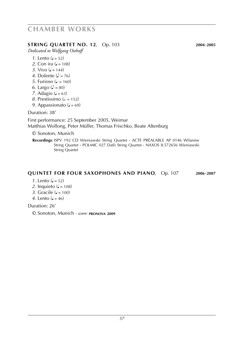#### **string quartet no. 12**, Op. 103 **2004**-**2005**

*Dedicated to Wolfgang Osthoff*

- *1*. Lento  $(d = 52)$
- *2*. Con ira  $(l = 108)$
- 3. Vivo  $(l = 144)$
- *4*. Dolente  $(\lambda = 76)$
- *5*. Furioso ( $J = 160$ )
- *6*. Largo ( $\sqrt{ } = 80$ )
- *7.* Adagio ( $\sqrt{ } = 63$ )
- *8*. Prestissimo ( $\epsilon$  = 152)
- *9.* Appassionato ( $J = 69$ )

Duration: 38'

First performance: 25 September 2005, Weimar Matthias Wollong, Peter Müller, Thomas Frischko, Beate Altenburg

© Sonoton, Munich

 **Recordings**: ISPV 192 CD Wieniawski String Quartet **·** ACTE PRÉALABLE AP 0146 Wilanów String Quartet **·** POLMIC 027 Dafô String Quartet **·** NAXOS 8.572656 Wieniawski String Quartet

### **quintet for four saxophones and piano**, Op. 107 **2006**-**2007**

- *1*. Lento  $(l = 52)$
- 2. Inquieto ( $= 108$ )
- 3. Gracile ( $J = 100$ )
- *4*. Lento  $(l = 46)$

Duration: 26'

© Sonoton, Munich · *score:* **pronova 2009**

*57*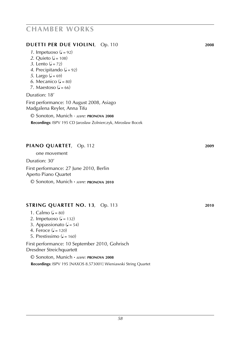#### **Duetti per due violini**, Op. 110 **2008**

- 2. Quieto ( $\sqrt{=}$  = 108)
- *3*. Lento  $(d = 72)$
- 4. Precipitando  $(J = 92)$
- *5*. Largo ( $J = 69$ )
- *6*. Mecanico ( $\sqrt{=}80$ )
- 7. Maestoso  $\mathcal{L} = 66$

#### Duration: 18'

First performance: 10 August 2008, Asiago Madgalena Reyler, Anna Tifu

© Sonoton, Munich · *score:* **pronova 2008**

Recordings: ISPV 195 CD Jarosław Żolnierczyk, Mirosław Bocek

#### **Piano quartet**, Op. 112 **2009**

one movement

Duration: 30'

First performance: 27 June 2010, Berlin Aperto Piano Quartet

© Sonoton, Munich **·** *score:* **pronova 2010**

#### **string quartet no. 13**, Op. 113 **2010**

- 1. Calmo  $(J = 80)$
- 2. Impetuoso  $(J = 132)$
- 3. Appassionato ( $J = 54$ )
- 4. Feroce  $(J = 120)$
- 5. Prestissimo  $(4 = 160)$

First performance: 10 September 2010, Gohrisch Dresdner Streichquartett

© Sonoton, Munich **·** *score:* **pronova 2008 Recordings**: ISPV 195 [NAXOS 8.573001] Wieniawski String Quartet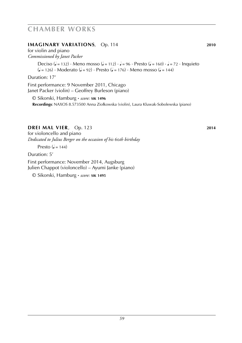#### **imaginary variations**, Op. 114 **2010**

for violin and piano *Commissioned by Janet Packer*

> Deciso ( $J = 132$ ) · Meno mosso ( $J = 112$ ) ·  $J = 96$  · Presto ( $J = 160$ ) ·  $J = 72$  · Inquieto  $\left( \mathsf{J} = 126 \right)$  · Moderato  $\left( \mathsf{J} = 92 \right)$  · Presto  $\left( \mathsf{J} = 176 \right)$  · Meno mosso  $\left( \mathsf{J} = 144 \right)$

Duration: 17'

First performance: 9 November 2011, Chicago Janet Packer (violin) – Geoffrey Burleson (piano)

© Sikorski, Hamburg **·** *score:* **sik 1496 Recordings:** NAXOS 8.573500 Anna Ziołkowska (violin), Laura Kluwak-Sobolewska (piano)

### **drei mall VIER**, Op. 123 **2014**

for violoncello and piano *Dedicated to Julius Berger on the occasion of his* 60*th birthday*

Presto  $\mathcal{L} = 144$ 

Duration: 5'

First performance: November 2014, Augsburg Julien Chappot (violoncello) – Ayumi Janke (piano)

© Sikorski, Hamburg **·** *score:* **sik 1495**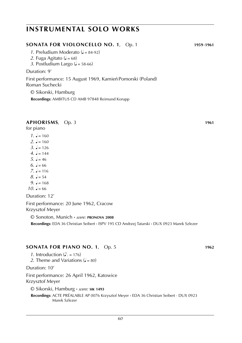#### **SONATA for violoncello no. 1**, Op. 1 **1959**-**1961**

- *1*. Preludium Moderato ( $J = 84-92$ )
- 2. Fuga Agitato  $(J = 68)$
- 3. Postludium Largo ( $J = 58-66$ )

#### Duration: 9'

First performance: 15 August 1969, Kamień Pomorski (Poland) Roman Suchecki

© Sikorski, Hamburg **Recordings: AMBITUS CD AMB 97848 Reimund Korupp** 

#### **APHORISMS**, Op. 3 **1961**

for piano

 $1. \, \text{J} = 160$  $2. J = 160$  $3. \, J = 126$ *4*.  $= 144$  $5 \quad -46$  $6. \, \text{J} = 66$  $7. J = 116$  $8. \, \text{J} = 54$ *9.*  $l = 168$  $10. \, \text{J} = 66$ 

Duration: 12'

First performance: 20 June 1962, Cracow Krzysztof Meyer

© Sonoton, Munich **·** *score:* **pronova 2008**

 **Recordings**: EDA 36 Christian Seibert **·** ISPV 195 CD Andrzej Tatarski **·** DUX 0923 Marek Szlezer

#### **SONATA FOR PIANO NO. 1**, Op. 5 **1962**

*1*. Introduction  $(\lambda = 176)$ 2. Theme and Variations  $(J = 80)$ Duration: 10' First performance: 26 April 1962, Katowice Krzysztof Meyer © Sikorski, Hamburg **·** *score:* **sik 1493 Recordings**: ACTE PRÉALABLE AP 0076 Krzysztof Meyer **·** EDA 36 Christian Seibert · DUX 0923 Marek Szlezer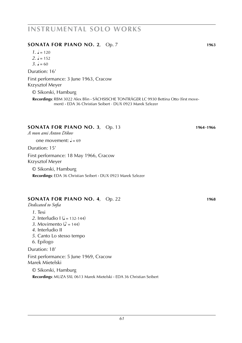#### **SONATA FOR PIANO NO. 2**, Op. 7 **1963**

 $1. \, \text{J} = 120$  $2. \, \text{J} = 152$  $3. \, \text{J} = 60$ 

Duration: 16'

First performance: 3 June 1963, Cracow Krzysztof Meyer

© Sikorski, Hamburg

 **Recordings**: RBM 3022 Alex Blin **·** Sächsische Tonträger LC 9930 Bettina Otto (first movement) **·** EDA 36 Christian Seibert · DUX 0923 Marek Szlezer

#### **SONATA FOR PIANO NO. 3**, Op. 13 **1964**-**1966**

*A mon ami Anton Dikov*

one movement:  $\frac{1}{2} = 69$ 

Duration: 15'

First performance: 18 May 1966, Cracow Krzysztof Meyer © Sikorski, Hamburg

 **Recordings**: EDA 36 Christian Seibert **·** DUX 0923 Marek Szlezer

#### **SONATA FOR PIANO NO. 4**, Op. 22 **1968**

*Dedicated to Sofia*

- *1*. Tesi
- *2*. Interludio  $I$  ( $J = 132-144$ )
- 3. Movimento ( $\sqrt{ }$  = 144)
- *4*. Interludio II
- *5*. Canto Lo stesso tempo
- *6*. Epilogo

Duration: 18'

First performance: 5 June 1969, Cracow Marek Mietelski

© Sikorski, Hamburg

 **Recordings**: MUZA SXL 0613 Marek Mietelski **·** EDA 36 Christian Seibert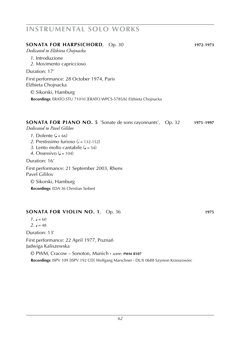| <b>SONATA FOR HARPSICHORD, Op. 30</b>                              | 1972-1973 |
|--------------------------------------------------------------------|-----------|
| Dedicated to Elżbieta Chojnacka                                    |           |
| 1. Introduzione                                                    |           |
| 2. Movimento capriccioso                                           |           |
| Duration: 17'                                                      |           |
| First performance: 28 October 1974, Paris<br>Elżbieta Chojnacka    |           |
| © Sikorski, Hamburg                                                |           |
| Recordings: ERATO STU 71010 [ERATO WPCS-5785/6] Elżbieta Chojnacka |           |
|                                                                    |           |

#### **SONATA FOR PIANO NO. 5** 'Sonate de sons rayonnants', Op. 32 **1975**-**1997**

*Dedicated to Pavel Gililov*

- *1*. Dolente  $\mathcal{L} = 66$ )
- 2. Prestissimo furioso ( $=$  132-152)
- *3*. Lento molto cantabile  $(J = 54)$
- 4. Ossessivo ( $d = 104$ )

Duration: 16'

First performance: 21 September 2003, Rhens Pavel Gililov

© Sikorski, Hamburg  **Recordings**: EDA 36 Christian Seibert

#### **SONATA for violin no. 1**, Op. 36 **1975**

 $1. \, \text{J} = 60$ 

2.  $l = 48$ 

Duration: 13'

First performance: 22 April 1977, Poznań Jadwiga Kaliszewska

© PWM, Cracow – Sonoton, Munich **·** *score:* **pwm 8107 Recordings**: ISPV 109 [ISPV 192 CD] Wolfgang Marschner **·** DUX 0688 Szymon Krzeszowiec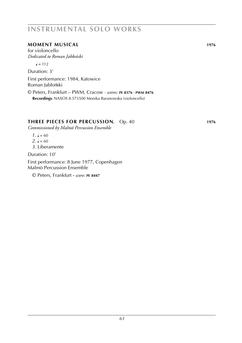### **MOMENT MUSICAL 1976**

for violoncello *Dedicated to Roman Jabłoński*

 $l = 112$ 

Duration: 3'

First performance: 1984, Katowice Roman Jabłoński

© Peters, Frankfurt – PWM, Cracow · *scores:* **pe 8376 · pwm 8476 Recordings**: NAXOS 8.573500 Monika Baranowska (violoncello)

### **three PIECES FOR PERCUSSION**, Op. 40 **1976**

*Commissioned by Malmö Percussion Ensemble*

 $1. \, \text{J} = 60$ 

 $2. \, \mu = 60$ 

*3*. Liberamente

Duration: 10'

First performance: 8 June 1977, Copenhagen Malmö Percussion Ensemble

© Peters, Frankfurt **·** *score:* **pe 8447**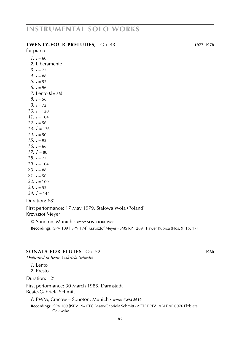#### **twenty-four PRELUDES**, Op. 43 **1977**-**1978**

for piano

 $1. \, \text{J} = 60$ *2*. Liberamente  $3. \, \, \frac{1}{2} = 72$ *4*.  $= 88$  $5. J = 52$  $6. \, \text{J} = 96$ *7*. Lento  $(l = 56)$  $8. \, \text{J} = 56$ *9.*  $\sqrt{2} = 72$  $10. \, \text{J} = 120$  $11. \, \text{J} = 104$  $12 \text{ J} = 56$  $13. \; \text{J} = 126$  $14. \, \text{J} = 50$  $15. J = 92$  $16. \, \text{J} = 66$  $17.$   $b = 80.$  $18. J = 72$  $19. = 104$ *20.*  $J = 88$  $21. J = 56$  $22. J = 100$  $23. \, \text{J} = 52$  $24. \ \ \ \ \ \ \ \ \ \ = 144$ Duration: 68'

First performance: 17 May 1979, Stalowa Wola (Poland) Krzysztof Meyer

© Sonoton, Munich · *score:* **sonoton 1986**

 **Recordings**: ISPV 109 [ISPV 174] Krzysztof Meyer **·** SMS RP 12691 Pawel**/** Kubica (Nos. 9, 15, 17)

#### **SONATA for flutes**, Op. 52 **1980**

*Dedicated to Beate-Gabriela Schmitt*

*1*. Lento

*2*. Presto

Duration: 12'

First performance: 30 March 1985, Darmstadt Beate-Gabriela Schmitt

© PWM, Cracow – Sonoton, Munich **·** *score:* **pwm 8619**

Recordings: ISPV 109 [ISPV 194 CD] Beate-Gabriela Schmitt · ACTE PRÉALABLE AP 0076 Elżbieta Gajewska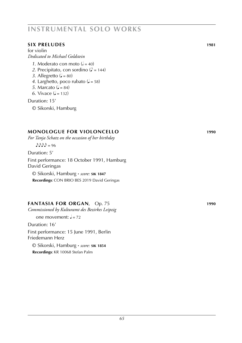#### **six PRELUDES 1981**

for violin *Dedicated to Michael Goldstein*

- 1. Moderato con moto  $\left( \frac{1}{2} = 40 \right)$
- 2. Precipitato, con sordino ( $\triangle$  = 144)
- 3. Allegretto  $(J = 80)$
- 4. Larghetto, poco rubato  $(J = 58)$
- *5*. Marcato ( $\sqrt{ }$  = 84)
- *6*. Vivace  $(l = 132)$

Duration: 15'

© Sikorski, Hamburg

### **MONOLOGUE for violoncello 1990**

*For Tanja Schatz on the occasion of her birthday*

 $A.A.A = 96$ 

Duration: 5'

First performance: 18 October 1991, Hamburg David Geringas

© Sikorski, Hamburg **·** *score:* **sik 1847 Recordings**: CON BRIO BES 2019 David Geringas

### **FANTASIA for organ**, Op. 75 **1990**

*Commissioned by Kulturamt des Bezirkes Leipzig*

one movement:  $J = 72$ 

Duration: 16'

First performance: 15 June 1991, Berlin Friedemann Herz

© Sikorski, Hamburg **·** *score:* **sik 1854 Recordings**: KR 10068 Stefan Palm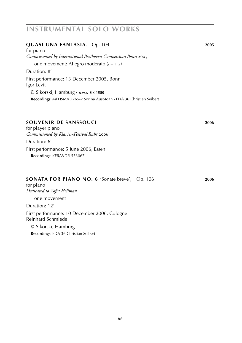| <b>QUASI UNA FANTASIA, Op. 104</b><br>for piano<br>Commissioned by International Beethoven Competition Bonn 2005 | 2005 |
|------------------------------------------------------------------------------------------------------------------|------|
| one movement: Allegro moderato ( $J = 112$ )                                                                     |      |
| Duration: 8'                                                                                                     |      |
| First performance: 13 December 2005, Bonn<br>Igor Levit                                                          |      |
| © Sikorski, Hamburg · score: SIK 1580                                                                            |      |
| Recordings: MELISMA 7265-2 Sorina Aust-Ioan · EDA 36 Christian Seibert                                           |      |

#### **souvenir de sanssouci 2006**

for player piano *Commissioned by Klavier-Festival Ruhr* 2006

Duration: 6' First performance: 5 June 2006, Essen  **Recordings**: KFR/WDR 553067

| <b>SONATA FOR PIANO NO. 6 'Sonate breve', Op. 106</b> |  | 2006 |
|-------------------------------------------------------|--|------|
|                                                       |  |      |

for piano *Dedicated to Zofia Hellman* one movement Duration: 12' First performance: 10 December 2006, Cologne Reinhard Schmiedel

© Sikorski, Hamburg  **Recordings**: EDA 36 Christian Seibert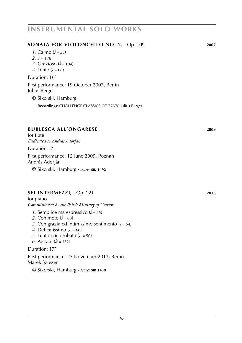### © Sikorski, Hamburg

**SONATA for violoncello no. 2**, Op. 109 **2007**

 **Recordings**: CHALLENGE CLASSICS CC 72376 Julius Berger

#### **burlesca all'ongarese 2009**

for flute *Dedicated to András Adorján*

*1*. Calmo  $(i = 52)$ 2.  $\sqrt{ } = 176$ 

3. Grazioso ( $d = 104$ ) *4*. Lento  $(a = 66)$ Duration: 16'

Duration: 3'

Julius Berger

First performance: 12 June 2009, Poznań András Adorján

First performance: 19 October 2007, Berlin

© Sikorski, Hamburg **·** *score:* **sik 1492**

#### **sei intermezzi**, Op. 121 **2013**

for piano *Commissioned by the Polish Ministry of Culture*

*1*. Semplice ma espressivo  $(J = 56)$ 

- 2. Con moto  $\mathcal{L} = 80$
- *3*. Con grazia ed intimissimo sentimento  $(J = 54)$
- 4. Delicatissimo  $(l = 66)$
- *5*. Lento poco rubato ( $\downarrow$  = 50)
- *6*. Agitato ( $\sqrt{ }$  = 132)

Duration: 17'

First performance: 27 November 2013, Berlin Marek Szlezer

© Sikorski, Hamburg **·** *score:* **sik 1459**

# **instrumental solo works**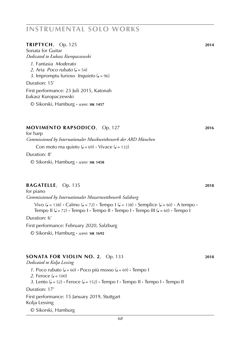#### **triptych**, Op. 125 **2014**

Sonata for Guitar *Dedicated to Łukasz Kuropaczewski*

- *1*. Fantasia *Moderato*
- *2*. Aria *Poco rubato*  $(d = 54)$
- *3*. Impromptu furioso *Inquieto* ( $= 96$ )

Duration: 15'

First performance: 23 Juli 2015, Katonah **/** Lukasz Kuropaczewski

© Sikorski, Hamburg **·** *score:* **sik 1457**

#### **movimento rapsodico**, Op. 127 **2016**

for harp *Commissioned by Internationaler Musikwettbewerb der ARD München*

Con moto ma quieto  $(J = 69) \cdot \text{Vivace } (J = 132)$ 

Duration: 8'

© Sikorski, Hamburg **·** *score:* **sik 1458**

#### **bagatelle**, Op. 135 **2018**

for piano *Commissioned by Internationaler Mozartwettbewerb Salzburg*

Vivo  $(l = 138) \cdot$  Calmo  $(l = 72) \cdot$  Tempo I  $(l = 138) \cdot$  Semplice  $(l = 60) \cdot$  A tempo  $\cdot$ Tempo II  $(J = 72)$  **·** Tempo I **·** Tempo II **·** Tempo I **·** Tempo III  $(J = 60)$  **·** Tempo I

Duration: 6'

First performance: February 2020, Salzburg

© Sikorski, Hamburg **·** *score:* **sik 1692**

#### **SONATA for violin no. 2**, Op. 133 **2018**

*Dedicated to Kolja Lessing*

1. Poco rubato ( $\downarrow$  = 60)  $\cdot$  Poco più mosso ( $\downarrow$  = 69)  $\cdot$  Tempo I

*2*. Feroce  $(d = 100)$ 

 $3$ . Lento  $(1 - 52)$  • Feroce  $(1 - 152)$  • Tempo I • Tempo II • Tempo I • Tempo II

Duration: 17'

First performance: 15 January 2019, Stuttgart Kolja Lessing

© Sikorski, Hamburg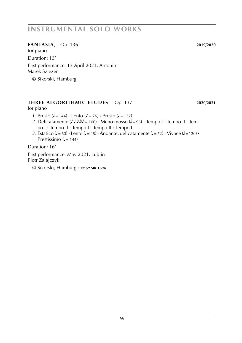### **fantasia**, Op. 136 **2019**/**2020**

for piano Duration: 13'

First performance: 13 April 2021, Antonin Marek Szlezer

© Sikorski, Hamburg

### **Three algorithmic etudes**, Op. 137 **2020**/**2021**

#### for piano

- *1*. Presto ( $J = 144$ ) **·** Lento ( $J = 76$ ) **·** Presto ( $J = 132$ )
- 2. Delicatamente  $(\lambda \lambda \lambda \lambda) = 100$  · Meno mosso  $(J = 96)$  · Tempo I · Tempo II · Tempo I **·** Tempo II **·** Tempo I **·** Tempo II **·** Tempo I
- *3*. Estatico ( $J = 60$ ) **·** Lento ( $J = 48$ ) **·** Andante, delicatamente ( $J = 72$ ) **·** Vivace ( $J = 120$ ) **·** Prestissimo  $\mathcal{L} = 144$ )

Duration: 16'

First performance: May 2021, Lublin Piotr Zalajczyk

© Sikorski, Hamburg **·** *score:* **sik 1694**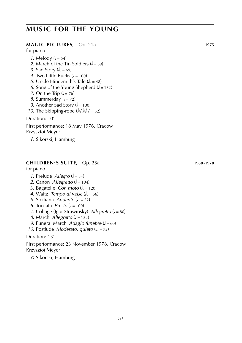# **music for the young**

### **MAGIC PICTURES**, Op. 21a **1975**

for piano

- *1*. Melody ( $J = 54$ )
- 2. March of the Tin Soldiers  $(k = 69)$
- *3*. Sad Story ( $J = 69$ )
- 4. Two Little Bucks  $(k = 100)$
- *5*. Uncle Hindemith's Tale  $(J = 48)$
- 6. Song of the Young Shepherd  $(J = 132)$
- *7*. On the Trip  $(J = 76)$
- *8.* Summerday  $\mathcal{L} = 72$
- *9*. Another Sad Story ( $J = 100$ )
- *10*. The Skipping-rope  $($ *NNN* $)$  = 52)

Duration: 10'

First performance: 18 May 1976, Cracow Krzysztof Meyer

© Sikorski, Hamburg

### **CHILDREN'S SUITE**, Op. 25a **1968**-**1978**

for piano

- *1*. Prelude *Allegro* ( $J = 84$ )
- *2*. Canon *Allegretto* ( $J = 104$ )
- 3. Bagatelle *Con moto*  $(l = 120)$
- 4. Waltz *Tempo di valse*  $\left( \frac{1}{2} \right) = 66$
- *5*. Siciliana *Andante* (*j.* = 52)
- $6.$  Toccata *Presto*  $\left( \frac{1}{6} = 100 \right)$
- *7*. Collage (Igor Strawinsky) *Allegretto* ( $J = 80$ )
- *8*. March *Allegretto* ( $J = 132$ )
- *9.* Funeral March *Adagio funebre* ( $J = 60$ )
- *10.* Postlude *Moderato, quieto* (J. = 72)

Duration: 15'

First performance: 23 November 1978, Cracow Krzysztof Meyer

© Sikorski, Hamburg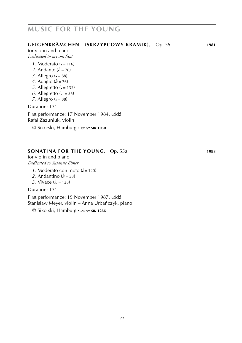# **music for the young**

### **GEIGENKRÄMCHEN** (**SKRZYPCOWY KRAMIK**), Op. 55 **1981**

for violin and piano *Dedicated to my son Staś*

- *1*. Moderato  $\mathcal{L} = 116$
- 2. Andante  $(\lambda = 76)$
- 3. Allegro ( $= 88$ )
- 4. Adagio ( $\triangle$  = 76)
- *5*. Allegretto  $(J = 132)$
- 6. Allegretto  $(J = 56)$
- *7*. Allegro ( $= 88$ )

Duration: 13'

First performance: 17 November 1984, L**/** ódz´ Rafal**/** Zazuniuk, violin

© Sikorski, Hamburg **·** *score:* **sik 1050**

### **SONATINA FOR THE YOUNG**, Op. 55a **1983**

for violin and piano *Dedicated to Susanne Ebner*

- *1*. Moderato con moto  $\mathcal{L} = 120$
- 2. Andantino ( $\triangle$  = 58)
- 3. Vivace  $($  $= 138)$

Duration: 13'

First performance: 19 November 1987, L**/** ódz´ Stanisław Meyer, violin – Anna Urbańczyk, piano

© Sikorski, Hamburg **·** *score:* **sik 1266**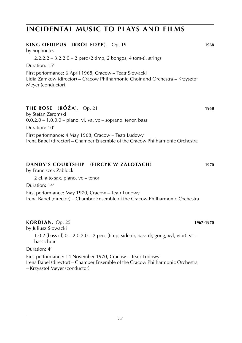# **incidental music to plays and films**

| KING OEDIPUS (KRÓL EDYP), Op. 19<br>by Sophocles                                                                                                               | 1968 |
|----------------------------------------------------------------------------------------------------------------------------------------------------------------|------|
| $2.2.2.2 - 3.2.2.0 - 2$ perc (2 timp, 2 bongos, 4 tom-t). strings                                                                                              |      |
| Duration: 15'                                                                                                                                                  |      |
| First performance: 6 April 1968, Cracow – Teatr Słowacki<br>Lidia Zamkow (director) - Cracow Philharmonic Choir and Orchestra - Krzysztof<br>Meyer (conductor) |      |
| <b>THE ROSE</b> (RÓŻA), Op. 21<br>by Stefan Żeromski<br>$0.0.2.0 - 1.0.0.0 -$ piano. vl. va. vc – soprano. tenor. bass                                         | 1968 |
| Duration: 10'                                                                                                                                                  |      |
| First performance: 4 May 1968, Cracow – Teatr Ludowy<br>Irena Babel (director) – Chamber Ensemble of the Cracow Philharmonic Orchestra                         |      |
| DANDY'S COURTSHIP (FIRCYK W ZALOTACH)<br>by Franciszek Zabłocki                                                                                                | 1970 |
| 2 cl. alto sax. piano. vc – tenor                                                                                                                              |      |
| Duration: 14'                                                                                                                                                  |      |
| First performance: May 1970, Cracow – Teatr Ludowy<br>Irena Babel (director) – Chamber Ensemble of the Cracow Philharmonic Orchestra                           |      |
|                                                                                                                                                                |      |

#### **KORDIAN**, Op. 25 **1967**-**1970**

by Juliusz Słowacki

1.0.2 (bass cl).0 – 2.0.2.0 – 2 perc (timp, side dr, bass dr, gong, xyl, vibr).  $vc$ bass choir

### Duration: 4'

First performance: 14 November 1970, Cracow – Teatr Ludowy Irena Babel (director) – Chamber Ensemble of the Cracow Philharmonic Orchestra – Krzysztof Meyer (conductor)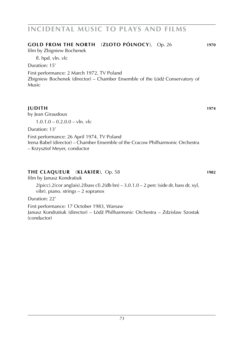### **incidental music to plays and films**

#### **GOLD FROM THE NORTH** (**ZL/ OTO PÓL/ NOCY**), Op. 26 **1970** film by Zbigniew Bochenek fl. hpd. vln. vlc Duration: 15'

First performance: 2 March 1972, TV Poland Zbigniew Bochenek (director) – Chamber Ensemble of the L**/** ódz´ Conservatory of Music

#### **JUDITH 1974**

by Jean Giraudoux

 $1.0.1.0 - 0.2.0.0 - v \ln v \ln$ 

Duration: 13'

First performance: 26 April 1974, TV Poland Irena Babel (director) – Chamber Ensemble of the Cracow Philharmonic Orchestra – Krzysztof Meyer, conductor

#### **the CLAQUEUR** (**KLAKIER**), Op. 58 **1982**

#### film by Janusz Kondratiuk

 $2(picc).2(cor anglais).2(bass cl).2(db bn) - 3.0.1.0 - 2 perc (side dr, bass dr, xyl,$ vibr). piano. strings – 2 sopranos

#### Duration: 22'

First performance: 17 October 1983, Warsaw Janusz Kondratiuk (director) – Lódź Philharmonic Orchestra – Zdzisław Szostak (conductor)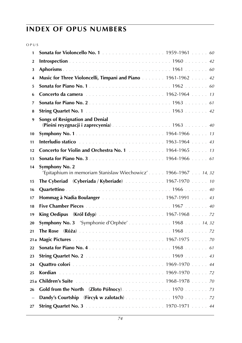| 1                        |                                                                                     |
|--------------------------|-------------------------------------------------------------------------------------|
| $\overline{2}$           |                                                                                     |
| 3                        |                                                                                     |
| $\overline{4}$           | Music for Three Violoncelli, Timpani and Piano 1961-1962 42                         |
| 5                        |                                                                                     |
| 6                        |                                                                                     |
| $\overline{7}$           |                                                                                     |
| 8                        |                                                                                     |
| 9                        | <b>Songs of Resignation and Denial</b><br>(Pieśni reyzgnacji i zaprecyenia) 1963 40 |
| 10                       |                                                                                     |
| 11                       |                                                                                     |
| 12                       | Concerto for Violin and Orchestra No. 1 1964-1965 13                                |
| 13                       |                                                                                     |
| 14                       | Symphony No. 2<br>'Epitaphium in memoriam Stanisław Wiechowicz' 1966-1967  14, 32   |
| 15                       | The Cyberiad (Cyberiada / Kyberiade) 1967-1970 10                                   |
| 16                       |                                                                                     |
| 17                       | Hommag à Nadia Boulanger 1967-1991 43                                               |
| 18                       |                                                                                     |
| 19                       |                                                                                     |
| 20                       | Symphony No. 3 'Symphonie d'Orphée' 1968 14, 32                                     |
| 21                       |                                                                                     |
|                          |                                                                                     |
| 22                       |                                                                                     |
| 23                       |                                                                                     |
| 24                       |                                                                                     |
| 25                       |                                                                                     |
| 25a                      |                                                                                     |
| 26                       |                                                                                     |
| $\overline{\phantom{0}}$ |                                                                                     |
| 27                       |                                                                                     |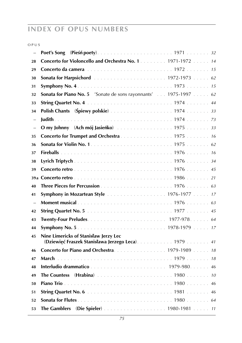| ٧ | × | v<br>× | ×<br>۰, |
|---|---|--------|---------|
|   |   |        |         |

| $\equiv$                                                                                                            |  |
|---------------------------------------------------------------------------------------------------------------------|--|
| Concerto for Violoncello and Orchestra No. 1. 1971-1972 14<br>28                                                    |  |
| 29                                                                                                                  |  |
| 30                                                                                                                  |  |
| 31                                                                                                                  |  |
| Sonata for Piano No. 5 'Sonate de sons rayonnants' 1975-1997 62<br>32                                               |  |
| 33                                                                                                                  |  |
| Polish Chants (Spiewy polskie) 1974 33<br>34                                                                        |  |
| $\equiv$                                                                                                            |  |
| $\overline{\phantom{0}}$                                                                                            |  |
| Concerto for Trumpet and Orchestra 1975 16<br>35                                                                    |  |
| 36                                                                                                                  |  |
| 37                                                                                                                  |  |
| 38                                                                                                                  |  |
| 39                                                                                                                  |  |
|                                                                                                                     |  |
| 40                                                                                                                  |  |
| <b>Symphony in Mozartean Style</b> 1976-1977 17<br>41                                                               |  |
| $\equiv$                                                                                                            |  |
| 42                                                                                                                  |  |
| 43                                                                                                                  |  |
| 44                                                                                                                  |  |
| Nine Limericks of Stanisław Jerzy Lec<br>45<br>(Dziewięć Fraszek Stanisława Jerzego Leca) 1979  41                  |  |
| Concerto for Piano and Orchestra. 1979-1989 18<br>46                                                                |  |
| 47                                                                                                                  |  |
| 48                                                                                                                  |  |
| <b>The Countess</b> (Hrabina) $\ldots \ldots \ldots \ldots \ldots \ldots \ldots \ldots 1980 \ldots \ldots 10$<br>49 |  |
| 50                                                                                                                  |  |
| 51                                                                                                                  |  |
| 52                                                                                                                  |  |
| The Gamblers (Die Spieler) 1980-1981 11<br>53                                                                       |  |
|                                                                                                                     |  |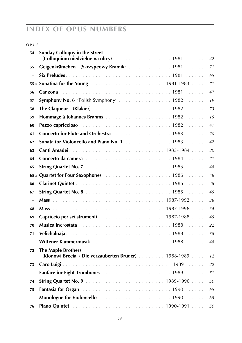#### o p u s

| 54                       | <b>Sunday Colloquy in the Street</b>                    |
|--------------------------|---------------------------------------------------------|
|                          |                                                         |
| 55                       | Geigenkrämchen (Skrzypcowy Kramik) 1981 71              |
| $\overline{\phantom{0}}$ |                                                         |
|                          |                                                         |
| 56                       |                                                         |
| 57                       | <b>Symphony No. 6</b> 'Polish Symphony'  1982 19        |
| 58                       |                                                         |
| 59                       |                                                         |
| 60                       |                                                         |
| 61                       | Concerto for Flute and Orchestra 1983 20                |
| 62                       | Sonata for Violoncello and Piano No. 1 1983 47          |
| 63                       |                                                         |
| 64                       |                                                         |
| 65                       |                                                         |
| 65a                      |                                                         |
| 66                       |                                                         |
| 67                       |                                                         |
| $\overline{\phantom{0}}$ |                                                         |
| 68                       |                                                         |
| 69                       |                                                         |
| 70                       |                                                         |
| 71                       |                                                         |
| $\equiv$                 |                                                         |
| 72                       | <b>The Maple Brothers</b>                               |
|                          | (Klonowi Brecia / Die verzauberten Brüder) 1988-1989 12 |
| 73                       |                                                         |
| $\overline{\phantom{0}}$ |                                                         |
| 74                       |                                                         |
| 75                       |                                                         |
| $\overline{a}$           |                                                         |
| 76                       |                                                         |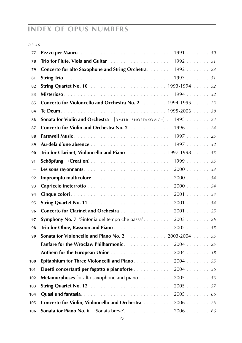| ٧ | × | v<br>× | ۰, |
|---|---|--------|----|
|   |   |        |    |

| 77                       |                                                               |
|--------------------------|---------------------------------------------------------------|
| 78                       |                                                               |
| 79                       | Concerto for alto Saxophone and String Orchetra. 1992 23      |
| 81                       |                                                               |
| 82                       |                                                               |
| 83                       |                                                               |
| 85                       | Concerto for Violoncello and Orchestra No. 2. 1994-1995 23    |
| 84                       |                                                               |
| 86                       | Sonata for Violin and Orchestra [DMITRI SHOSTAKOVICH] 1995 24 |
| 87                       | Concerto for Violin and Orchestra No. 2 1996 24               |
| 88                       |                                                               |
| 89                       |                                                               |
| 90                       | Trio for Clarinet, Violoncello and Piano 1997-1998 53         |
| 91                       |                                                               |
| $\overline{\phantom{0}}$ |                                                               |
| 92                       |                                                               |
| 93                       |                                                               |
| 94                       |                                                               |
| 95                       |                                                               |
| 96                       | Concerto for Clarinet and Orchestra 2001 25                   |
| 97                       | Symphony No. 7 'Sinfonia del tempo che passa' 2003  26        |
| 98                       |                                                               |
| 99                       | Sonata for Violoncello and Piano No. 2 2003-2004 55           |
| $\equiv$                 |                                                               |
| $\qquad \qquad -$        |                                                               |
| 100                      | Epitaphium for Three Violoncelli and Piano. 2004 55           |
| 101                      | Duetti concertanti per fagotto e pianoforte  2004  56         |
| 102                      | Metamorphoses for alto saxophone and piano 2005 56            |
| 103                      |                                                               |
| 104                      |                                                               |
| 105                      | Concerto for Violin, Violoncello and Orchestra 2006 26        |
| 106                      |                                                               |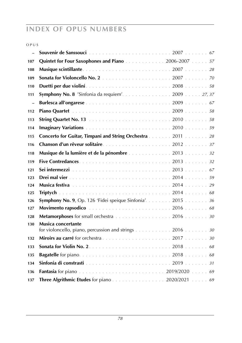| M.<br>v | ٠ | ۹ | ×<br>٧ |  |
|---------|---|---|--------|--|
|         |   |   |        |  |

| L.                |                                                                                     |
|-------------------|-------------------------------------------------------------------------------------|
| 107               | Quintet for Four Saxophones and Piano 2006-2007 57                                  |
| 108               |                                                                                     |
| 109               |                                                                                     |
| 110               |                                                                                     |
| 111               |                                                                                     |
| $\qquad \qquad -$ |                                                                                     |
| 112               |                                                                                     |
| 113               |                                                                                     |
| 114               |                                                                                     |
| 115               | Concerto for Guitar, Timpani and String Orchestra 2011 28                           |
| 116               |                                                                                     |
| 118               | Musique de la lumière et de la pénombre  2013  32                                   |
| 119               |                                                                                     |
| 121               |                                                                                     |
| 123               |                                                                                     |
| 124               |                                                                                     |
| 125               |                                                                                     |
| 126               | Symphony No. 9, Op. 126 'Fidei speique Sinfonia'. 2015 36                           |
| 127               |                                                                                     |
| 128               | Metamorphoses for small orchestra 2016 30                                           |
| 130               | <b>Musica concertante</b><br>for violoncello, piano, percussion and strings 2016 30 |
| 132               |                                                                                     |
| 133               |                                                                                     |
| 135               |                                                                                     |
| 134               |                                                                                     |
| 136               |                                                                                     |
| 137               |                                                                                     |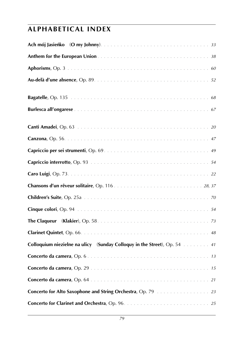| Colloquium niezielne na ulicy (Sunday Colloquy in the Street), Op. 54 41 |  |
|--------------------------------------------------------------------------|--|
|                                                                          |  |
|                                                                          |  |
|                                                                          |  |
| Concerto for Alto Saxophone and String Orchestra, Op. 79 23              |  |
|                                                                          |  |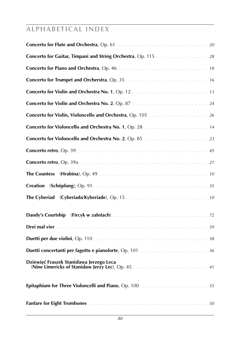| Concerto for Guitar, Timpani and String Orchestra, Op. 115. 28 |
|----------------------------------------------------------------|
|                                                                |
|                                                                |
|                                                                |
|                                                                |
|                                                                |
|                                                                |
|                                                                |
|                                                                |
|                                                                |
|                                                                |
| <b>Creation</b>                                                |
|                                                                |
|                                                                |
|                                                                |
|                                                                |
|                                                                |
|                                                                |
|                                                                |
|                                                                |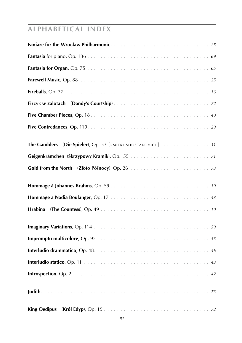| (Die Spieler), Op. 53 [DMITRI SHOSTAKOVICH] 11<br><b>The Gamblers</b> |  |
|-----------------------------------------------------------------------|--|
|                                                                       |  |
|                                                                       |  |
|                                                                       |  |
|                                                                       |  |
| Hrabina                                                               |  |
|                                                                       |  |
|                                                                       |  |
|                                                                       |  |
|                                                                       |  |
|                                                                       |  |
|                                                                       |  |
|                                                                       |  |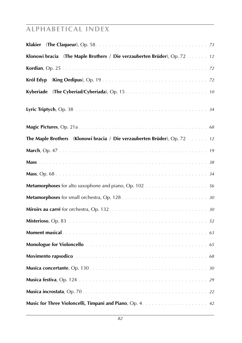| Klonowi bracia (The Maple Brothers / Die verzauberten Brüder), Op. 72  12 |
|---------------------------------------------------------------------------|
|                                                                           |
| Król Edvp                                                                 |
| Kyberiade                                                                 |
|                                                                           |
|                                                                           |
| The Maple Brothers (Klonowi bracia / Die verzauberten Brüder), Op. 72  12 |
|                                                                           |
|                                                                           |
|                                                                           |
|                                                                           |
|                                                                           |
|                                                                           |
|                                                                           |
|                                                                           |
|                                                                           |
|                                                                           |
|                                                                           |
|                                                                           |
|                                                                           |
|                                                                           |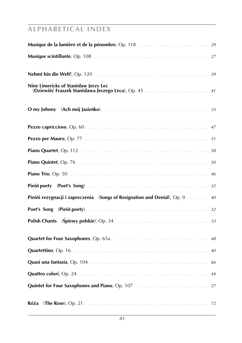| Nine Limericks of Stanisław Jerzy Lec                                       |
|-----------------------------------------------------------------------------|
|                                                                             |
|                                                                             |
|                                                                             |
|                                                                             |
|                                                                             |
|                                                                             |
|                                                                             |
| Pieśńi rezygnacji i zapreczenia (Songs of Resignation and Denial), Op. 9 40 |
|                                                                             |
|                                                                             |
|                                                                             |
|                                                                             |
|                                                                             |
|                                                                             |
|                                                                             |
| Róża                                                                        |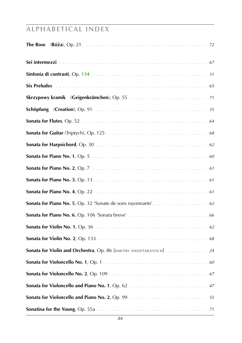| The Rose                                                        |
|-----------------------------------------------------------------|
|                                                                 |
|                                                                 |
|                                                                 |
|                                                                 |
|                                                                 |
|                                                                 |
|                                                                 |
|                                                                 |
|                                                                 |
|                                                                 |
|                                                                 |
|                                                                 |
|                                                                 |
|                                                                 |
|                                                                 |
|                                                                 |
| Sonata for Violin and Orchestra, Op. 86 [DMITRI SHOSTAKOVICH]24 |
|                                                                 |
|                                                                 |
|                                                                 |
|                                                                 |
|                                                                 |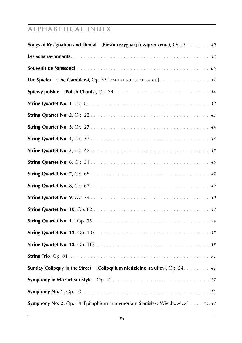| Songs of Resignation and Denial (Piesni rezygnacji i zapreczenia), Op. 9 40 |
|-----------------------------------------------------------------------------|
|                                                                             |
|                                                                             |
| Die Spieler (The Gamblers), Op. 53 [DMITRI SHOSTAKOVICH] 11                 |
|                                                                             |
|                                                                             |
|                                                                             |
|                                                                             |
|                                                                             |
|                                                                             |
|                                                                             |
|                                                                             |
|                                                                             |
|                                                                             |
|                                                                             |
|                                                                             |
|                                                                             |
|                                                                             |
|                                                                             |
| Sunday Colloquy in the Street (Colloquium niedzielne na ulicy), Op. 54. 41  |
|                                                                             |
|                                                                             |
| Symphony No. 2, Op. 14 'Epitaphium in memoriam Stanisław Wiechowicz' 14, 32 |